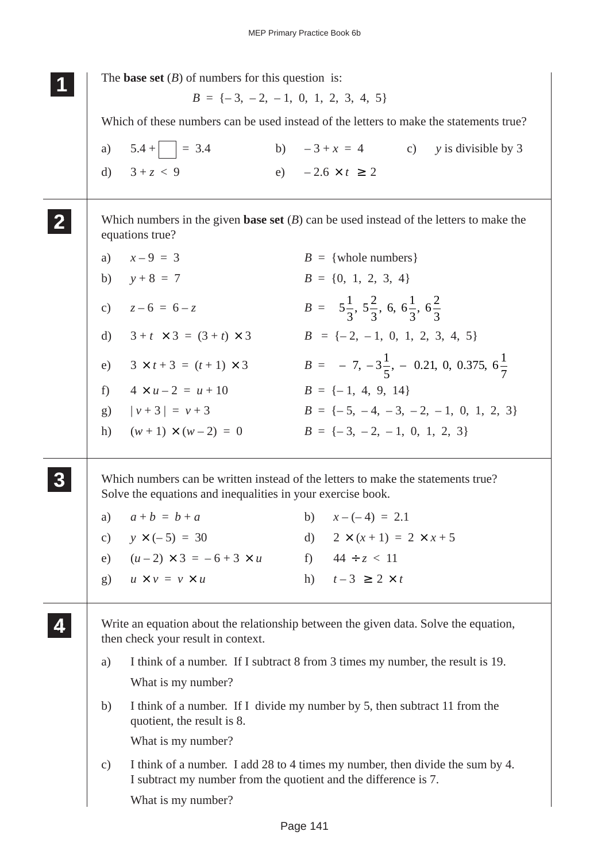|               | The <b>base set</b> $(B)$ of numbers for this question is:                                                                                       |  |                                                                                |                                                                       |
|---------------|--------------------------------------------------------------------------------------------------------------------------------------------------|--|--------------------------------------------------------------------------------|-----------------------------------------------------------------------|
|               | $B = \{-3, -2, -1, 0, 1, 2, 3, 4, 5\}$                                                                                                           |  |                                                                                |                                                                       |
|               | Which of these numbers can be used instead of the letters to make the statements true?                                                           |  |                                                                                |                                                                       |
|               | a) $5.4 +$ $= 3.4$                                                                                                                               |  |                                                                                | b) $-3 + x = 4$ c) y is divisible by 3                                |
|               | d) $3 + z < 9$                                                                                                                                   |  | e) $-2.6 \times t \ge 2$                                                       |                                                                       |
|               | Which numbers in the given <b>base set</b> $(B)$ can be used instead of the letters to make the<br>equations true?                               |  |                                                                                |                                                                       |
|               | a) $x-9 = 3$                                                                                                                                     |  | $B = \{$ whole numbers $\}$                                                    |                                                                       |
|               | b) $y+8 = 7$                                                                                                                                     |  | $B = \{0, 1, 2, 3, 4\}$                                                        |                                                                       |
|               | c) $z-6 = 6-z$                                                                                                                                   |  | $B = \left\{5\frac{1}{3}, 5\frac{2}{3}, 6, 6\frac{1}{3}, 6\frac{2}{3}\right\}$ |                                                                       |
| $\mathbf{d}$  | $3 + t \times 3 = (3 + t) \times 3$                                                                                                              |  | $B = \{-2, -1, 0, 1, 2, 3, 4, 5\}$                                             |                                                                       |
| e)            | $3 \times t + 3 = (t + 1) \times 3$                                                                                                              |  |                                                                                | $B = \left\{-7, -3\frac{1}{5}, -0.21, 0, 0.375, 6\frac{1}{7}\right\}$ |
|               | f) $4 \times u - 2 = u + 10$                                                                                                                     |  | $B = \{-1, 4, 9, 14\}$                                                         |                                                                       |
|               | g) $ v+3  = v+3$                                                                                                                                 |  |                                                                                | $B = \{-5, -4, -3, -2, -1, 0, 1, 2, 3\}$                              |
|               | h) $(w+1) \times (w-2) = 0$                                                                                                                      |  | $B = \{-3, -2, -1, 0, 1, 2, 3\}$                                               |                                                                       |
|               | Which numbers can be written instead of the letters to make the statements true?<br>Solve the equations and inequalities in your exercise book.  |  |                                                                                |                                                                       |
| a)            | $a+b = b+a$                                                                                                                                      |  | b) $x-(-4) = 2.1$                                                              |                                                                       |
|               | c) $y \times (-5) = 30$                                                                                                                          |  | d) $2 \times (x+1) = 2 \times x+5$                                             |                                                                       |
|               | e) $(u-2) \times 3 = -6 + 3 \times u$                                                                                                            |  | f) $44 \div z < 11$                                                            |                                                                       |
|               | g) $u \times v = v \times u$                                                                                                                     |  | h) $t-3 \geq 2 \times t$                                                       |                                                                       |
|               | Write an equation about the relationship between the given data. Solve the equation,<br>then check your result in context.                       |  |                                                                                |                                                                       |
| a)            | I think of a number. If I subtract 8 from 3 times my number, the result is 19.                                                                   |  |                                                                                |                                                                       |
|               | What is my number?                                                                                                                               |  |                                                                                |                                                                       |
| b)            | I think of a number. If I divide my number by 5, then subtract 11 from the<br>quotient, the result is 8.                                         |  |                                                                                |                                                                       |
|               | What is my number?                                                                                                                               |  |                                                                                |                                                                       |
| $\mathbf{c})$ | I think of a number. I add 28 to 4 times my number, then divide the sum by 4.<br>I subtract my number from the quotient and the difference is 7. |  |                                                                                |                                                                       |
|               | What is my number?                                                                                                                               |  |                                                                                |                                                                       |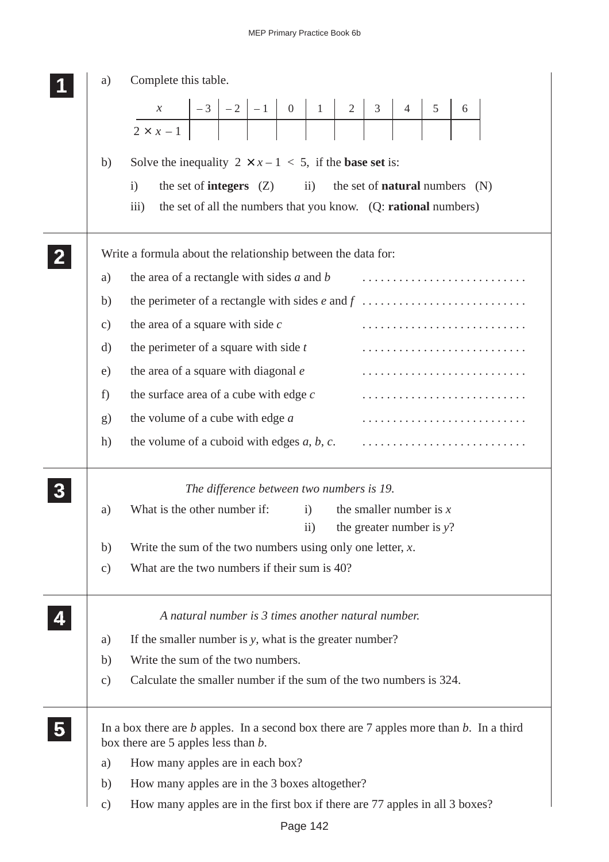|                | a)             | Complete this table.                                                                                                                                                                                                                                                                                                                                                                            |
|----------------|----------------|-------------------------------------------------------------------------------------------------------------------------------------------------------------------------------------------------------------------------------------------------------------------------------------------------------------------------------------------------------------------------------------------------|
|                |                | $\begin{array}{ c c c c c c c c c c c } \hline x & -3 & -2 & -1 & 0 & 1 & 2 & 3 & 4 & 5 \\ \hline 2 \times x & -1 & & & & & & & & & & \hline \end{array}$<br>6                                                                                                                                                                                                                                  |
|                | b)<br>a)<br>b) | Solve the inequality $2 \times x - 1 < 5$ , if the <b>base set</b> is:<br>$\mathbf{ii}$<br>the set of <b>natural</b> numbers $(N)$<br>the set of <b>integers</b> $(Z)$<br>$\mathbf{i}$<br>the set of all the numbers that you know. (Q: rational numbers)<br>$\overline{iii}$<br>Write a formula about the relationship between the data for:<br>the area of a rectangle with sides $a$ and $b$ |
|                | $\mathbf{c})$  | the area of a square with side $c$                                                                                                                                                                                                                                                                                                                                                              |
|                | $\rm d)$<br>e) | the perimeter of a square with side $t$<br>the area of a square with diagonal e                                                                                                                                                                                                                                                                                                                 |
|                | f)             | the surface area of a cube with edge $c$                                                                                                                                                                                                                                                                                                                                                        |
|                | g)             | the volume of a cube with edge $a$                                                                                                                                                                                                                                                                                                                                                              |
|                | h)             | the volume of a cuboid with edges $a, b, c$ .                                                                                                                                                                                                                                                                                                                                                   |
|                |                | The difference between two numbers is 19.                                                                                                                                                                                                                                                                                                                                                       |
|                | a)             | What is the other number if:<br>the smaller number is $x$<br>i)<br>the greater number is $y$ ?<br>$\rm ii)$                                                                                                                                                                                                                                                                                     |
|                | b)             | Write the sum of the two numbers using only one letter, $x$ .                                                                                                                                                                                                                                                                                                                                   |
|                | $\mathbf{c})$  | What are the two numbers if their sum is 40?                                                                                                                                                                                                                                                                                                                                                    |
|                |                | A natural number is 3 times another natural number.                                                                                                                                                                                                                                                                                                                                             |
|                | a)             | If the smaller number is y, what is the greater number?                                                                                                                                                                                                                                                                                                                                         |
|                | b)             | Write the sum of the two numbers.                                                                                                                                                                                                                                                                                                                                                               |
|                | $\mathbf{c})$  | Calculate the smaller number if the sum of the two numbers is 324.                                                                                                                                                                                                                                                                                                                              |
| 5 <sup>1</sup> |                | In a box there are $b$ apples. In a second box there are 7 apples more than $b$ . In a third<br>box there are 5 apples less than $b$ .                                                                                                                                                                                                                                                          |
|                | a)             | How many apples are in each box?                                                                                                                                                                                                                                                                                                                                                                |
|                | b)             | How many apples are in the 3 boxes altogether?                                                                                                                                                                                                                                                                                                                                                  |
|                | $\mathbf{c})$  | How many apples are in the first box if there are 77 apples in all 3 boxes?                                                                                                                                                                                                                                                                                                                     |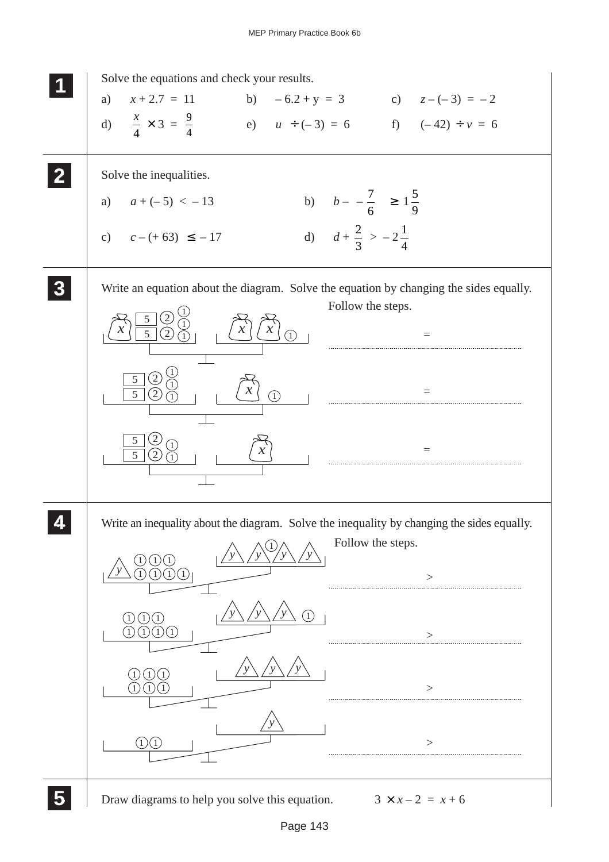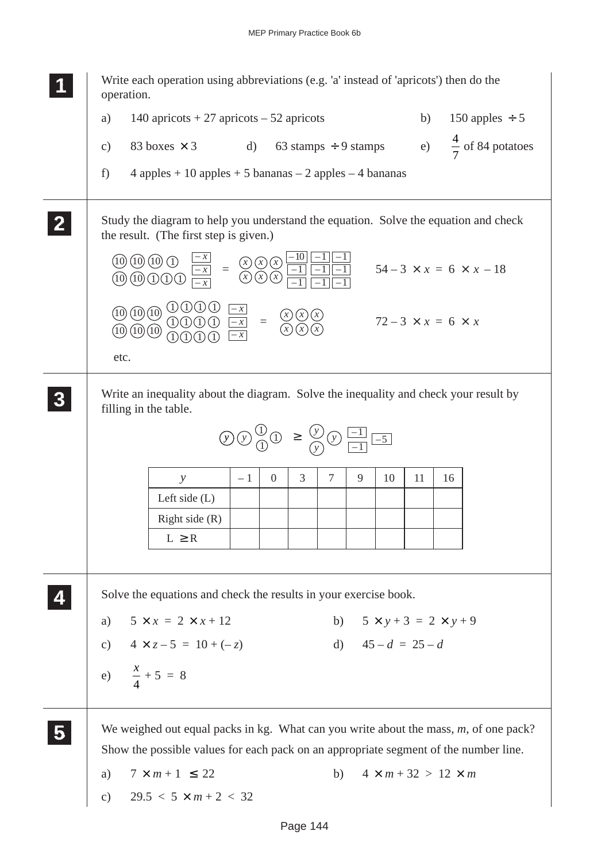**1 11 <sup>11</sup>** Write each operation using abbreviations (e.g. 'a' instead of 'apricots') then do the operation. a)  $140$  apricots + 27 apricots – 52 apricots b) 150 apples  $\div$  5 c) 83 boxes  $\times$  3 d) 63 stamps ÷ 9 stamps 7 of 84 potatoes f)  $4$  apples  $+ 10$  apples  $+ 5$  bananas  $- 2$  apples  $- 4$  bananas Study the diagram to help you understand the equation. Solve the equation and check the result. (The first step is given.) Write an inequality about the diagram. Solve the inequality and check your result by filling in the table. Solve the equations and check the results in your exercise book. a)  $5 \times x = 2 \times x + 12$  b)  $5 \times y + 3 = 2 \times y + 9$ c)  $4 \times z - 5 = 10 + (-z)$  d)  $45 - d = 25 - d$ e)  $\frac{x}{x}$ 4  $+ 5 = 8$ We weighed out equal packs in kg. What can you write about the mass, *m*, of one pack? Show the possible values for each pack on an appropriate segment of the number line. a)  $7 \times m + 1 \le 22$  b)  $4 \times m + 32 > 12 \times m$ c)  $29.5 < 5 \times m + 2 < 32$ **2 22 22 3 33 33 33**  $=\frac{(x)(x)}{(x)(x)}$  $-1$   $-1$  $-1$   $-1$   $-1$  $-1$   $-1$   $-1$  $\overline{x}$   $\Omega$   $\Omega$   $\overline{10}$ *– x – x* 10) (10) (10  $(10)(10)$ 1 <u>1)(1)(1</u>  $54 - 3 \times x = 6 \times x - 18$  $=\frac{(x)(x)}{(x)(x)}$ *– x – x – x* 1 1) (1) (1 1) (1 1) (1) (1) (1  $(10)(10)(10)$  $(10)(10)(10)$ etc.  $72 - 3 \times x = 6 \times x$ **5 55 55 4 44 44** *y* Left side (L) Right side (R)  $L \geq R$  $-1$  0 3 7 9 10 11 16  $\mathcal{L}(\mathcal{Y}) \oplus \mathcal{Y}(\mathcal{Y}) \cong \mathcal{Y}(\mathcal{Y}) \oplus \mathcal{Y}(\mathcal{Y})$ *y* – 1  $\frac{1}{-1}$   $\frac{-5}{-5}$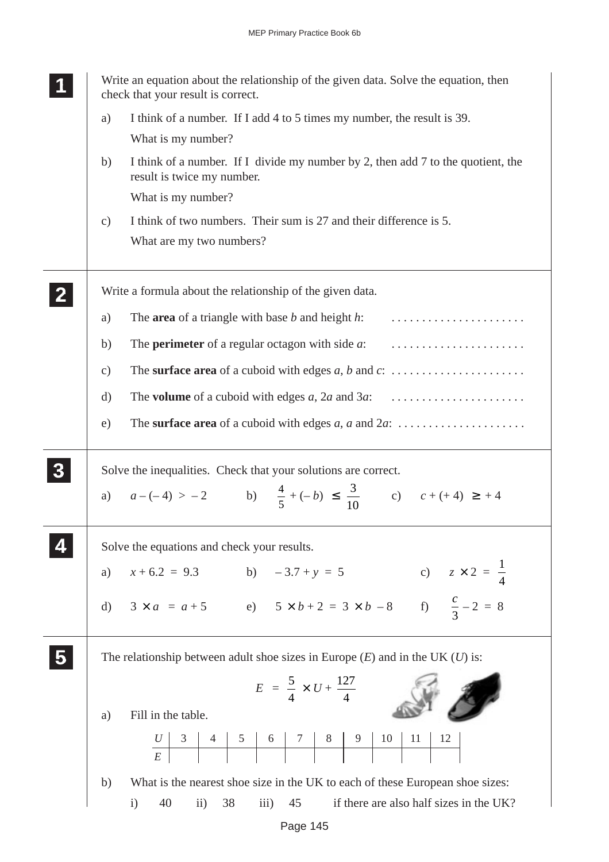| Write an equation about the relationship of the given data. Solve the equation, then<br>check that your result is correct. |
|----------------------------------------------------------------------------------------------------------------------------|
| I think of a number. If I add 4 to 5 times my number, the result is 39.<br>a)                                              |
| What is my number?                                                                                                         |
| I think of a number. If I divide my number by 2, then add 7 to the quotient, the<br>b)<br>result is twice my number.       |
| What is my number?                                                                                                         |
| I think of two numbers. Their sum is 27 and their difference is 5.<br>$\mathbf{c})$<br>What are my two numbers?            |
| Write a formula about the relationship of the given data.                                                                  |
| The <b>area</b> of a triangle with base $b$ and height $h$ :<br>a)                                                         |
| b)                                                                                                                         |
| The surface area of a cuboid with edges $a, b$ and $c: \ldots \ldots \ldots \ldots \ldots$<br>$\mathbf{c})$                |
| $\mathbf{d}$                                                                                                               |
| e)                                                                                                                         |
|                                                                                                                            |
| Solve the inequalities. Check that your solutions are correct.                                                             |
| a) $a - (-4) > -2$ b) $\frac{4}{5} + (-b) \le \frac{3}{10}$ c) $c + (+4) \ge +4$                                           |
| Solve the equations and check your results.                                                                                |
| c) $z \times 2 = \frac{1}{4}$<br>$x + 6.2 = 9.3$ b) $-3.7 + y = 5$<br>a)                                                   |
| d) $3 \times a = a + 5$<br>e) $5 \times b + 2 = 3 \times b - 8$<br>f) $\frac{c}{3} - 2 = 8$                                |
| The relationship between adult shoe sizes in Europe $(E)$ and in the UK $(U)$ is:                                          |
| $E = \frac{5}{4} \times U + \frac{127}{4}$                                                                                 |
| Fill in the table.<br>a)                                                                                                   |
| $10$<br>11<br>12<br>$\begin{array}{ c c c c c c c c } \hline & 4 & 5 & 6 & 7 & 8 & 9 \\ \hline & & & & & & & \end{array}$  |
| What is the nearest shoe size in the UK to each of these European shoe sizes:<br>b)                                        |
| if there are also half sizes in the UK?<br>40<br>38<br>45<br>$\rm ii)$<br>$\overline{iii}$<br>$\mathbf{i}$                 |

Page 145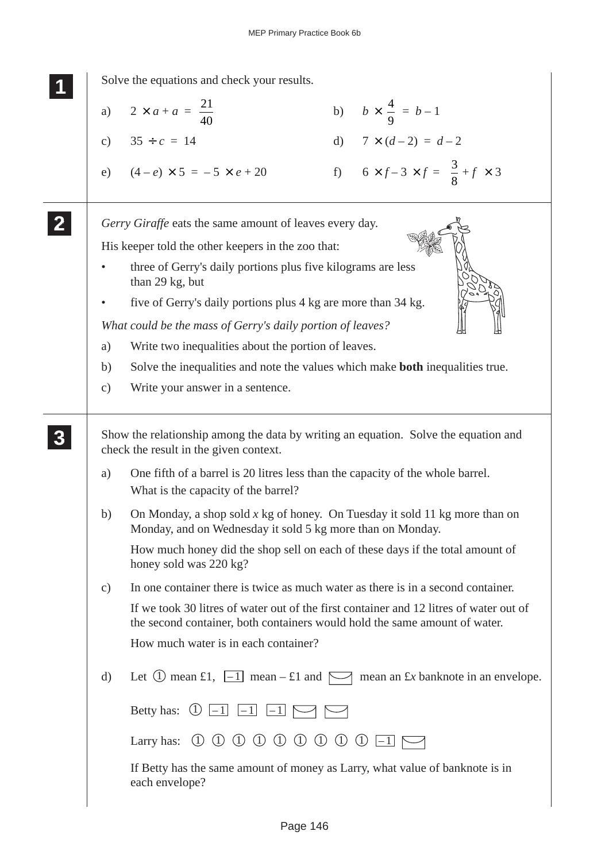Solve the equations and check your results. a)  $2 \times a + a = \frac{21}{10}$  $rac{21}{40}$  b)  $b \times \frac{4}{9}$ 9  $= b - 1$ c)  $35 \div c = 14$  d)  $7 \times (d-2) = d-2$ e)  $(4-e) \times 5 = -5 \times e + 20$  f)  $6 \times f - 3 \times f = \frac{3}{8}$ 8 + $f \times 3$ *Gerry Giraffe* eats the same amount of leaves every day. His keeper told the other keepers in the zoo that: three of Gerry's daily portions plus five kilograms are less than 29 kg, but five of Gerry's daily portions plus 4 kg are more than 34 kg. *What could be the mass of Gerry's daily portion of leaves?* a) Write two inequalities about the portion of leaves. b) Solve the inequalities and note the values which make **both** inequalities true. c) Write your answer in a sentence. Show the relationship among the data by writing an equation. Solve the equation and check the result in the given context. a) One fifth of a barrel is 20 litres less than the capacity of the whole barrel. What is the capacity of the barrel? b) On Monday, a shop sold *x* kg of honey. On Tuesday it sold 11 kg more than on Monday, and on Wednesday it sold 5 kg more than on Monday. How much honey did the shop sell on each of these days if the total amount of honey sold was 220 kg? c) In one container there is twice as much water as there is in a second container. If we took 30 litres of water out of the first container and 12 litres of water out of the second container, both containers would hold the same amount of water. How much water is in each container? d) Let  $\overline{1}$  mean  $\pm 1$ ,  $\overline{-1}$  mean  $\pm 1$  and  $\overline{\phantom{1}}$  mean an  $\pm x$  banknote in an envelope. Betty has: 1 – 1 – 1 – 1 Larry has:  $(1) (1) (1) (1) (1) (1) (1) (-1) \n\rightarrow$ If Betty has the same amount of money as Larry, what value of banknote is in each envelope? **1 11 11 2 22 22 3 33 33 33**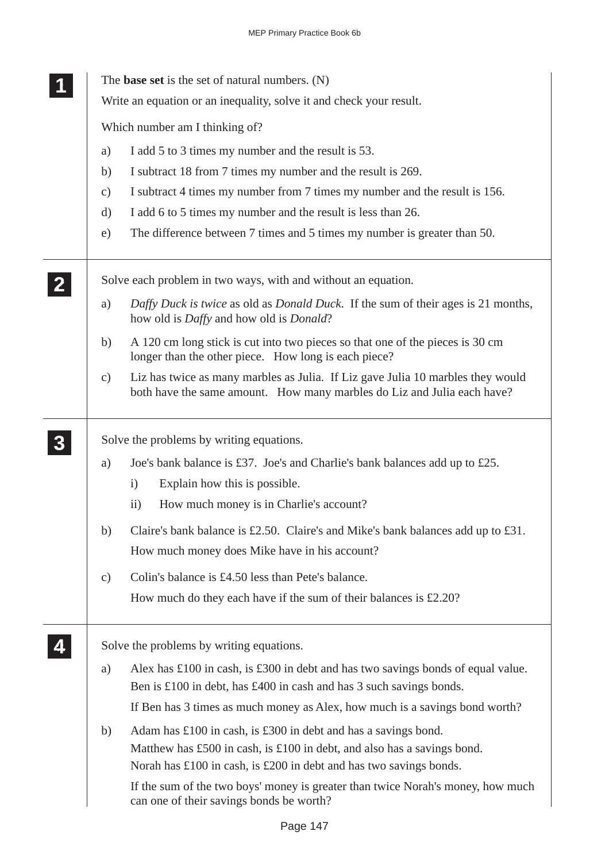|  |                                          | The <b>base set</b> is the set of natural numbers. (N)                                                                                                     |  |  |  |
|--|------------------------------------------|------------------------------------------------------------------------------------------------------------------------------------------------------------|--|--|--|
|  |                                          | Write an equation or an inequality, solve it and check your result.                                                                                        |  |  |  |
|  |                                          | Which number am I thinking of?                                                                                                                             |  |  |  |
|  | a)                                       | I add 5 to 3 times my number and the result is 53.                                                                                                         |  |  |  |
|  | b)                                       | I subtract 18 from 7 times my number and the result is 269.                                                                                                |  |  |  |
|  | $\mathbf{c})$                            | I subtract 4 times my number from 7 times my number and the result is 156.                                                                                 |  |  |  |
|  | d)                                       | I add 6 to 5 times my number and the result is less than 26.                                                                                               |  |  |  |
|  | e)                                       | The difference between 7 times and 5 times my number is greater than 50.                                                                                   |  |  |  |
|  |                                          | Solve each problem in two ways, with and without an equation.                                                                                              |  |  |  |
|  | a)                                       | Daffy Duck is twice as old as Donald Duck. If the sum of their ages is 21 months,<br>how old is <i>Daffy</i> and how old is <i>Donald</i> ?                |  |  |  |
|  | b)                                       | A 120 cm long stick is cut into two pieces so that one of the pieces is 30 cm<br>longer than the other piece. How long is each piece?                      |  |  |  |
|  | $\mathbf{c})$                            | Liz has twice as many marbles as Julia. If Liz gave Julia 10 marbles they would<br>both have the same amount. How many marbles do Liz and Julia each have? |  |  |  |
|  | Solve the problems by writing equations. |                                                                                                                                                            |  |  |  |
|  | a)                                       | Joe's bank balance is £37. Joe's and Charlie's bank balances add up to £25.                                                                                |  |  |  |
|  |                                          | Explain how this is possible.<br>$\mathbf{i}$                                                                                                              |  |  |  |
|  |                                          | How much money is in Charlie's account?<br>$\rm ii)$                                                                                                       |  |  |  |
|  | b)                                       | Claire's bank balance is £2.50. Claire's and Mike's bank balances add up to £31.                                                                           |  |  |  |
|  |                                          | How much money does Mike have in his account?                                                                                                              |  |  |  |
|  | $\mathbf{c})$                            | Colin's balance is £4.50 less than Pete's balance.                                                                                                         |  |  |  |
|  |                                          | How much do they each have if the sum of their balances is $£2.20$ ?                                                                                       |  |  |  |
|  |                                          | Solve the problems by writing equations.                                                                                                                   |  |  |  |
|  | a)                                       | Alex has $\pounds$ 100 in cash, is $\pounds$ 300 in debt and has two savings bonds of equal value.                                                         |  |  |  |
|  |                                          | Ben is £100 in debt, has £400 in cash and has 3 such savings bonds.                                                                                        |  |  |  |
|  |                                          | If Ben has 3 times as much money as Alex, how much is a savings bond worth?                                                                                |  |  |  |
|  | b)                                       | Adam has £100 in cash, is £300 in debt and has a savings bond.                                                                                             |  |  |  |
|  |                                          | Matthew has £500 in cash, is £100 in debt, and also has a savings bond.                                                                                    |  |  |  |
|  |                                          | Norah has $\pounds100$ in cash, is $\pounds200$ in debt and has two savings bonds.                                                                         |  |  |  |
|  |                                          | If the sum of the two boys' money is greater than twice Norah's money, how much<br>can one of their savings bonds be worth?                                |  |  |  |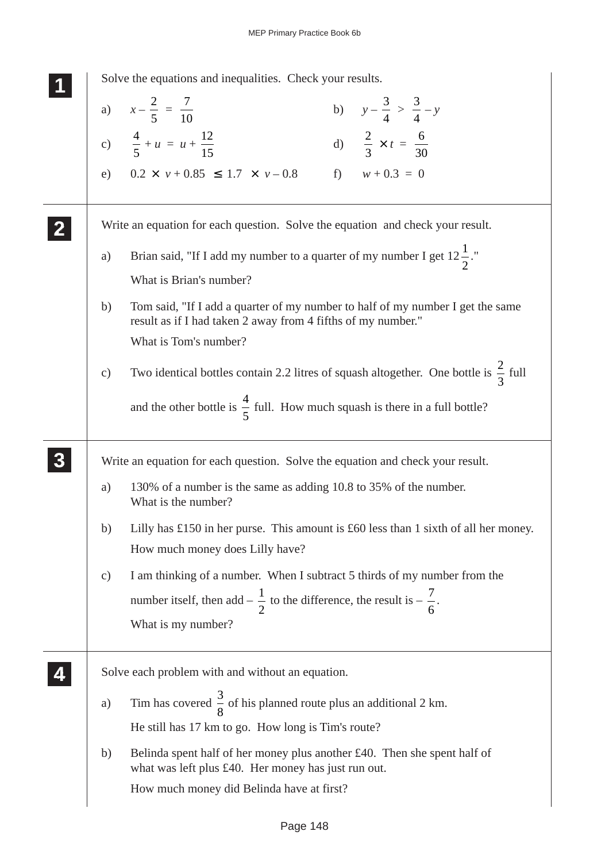|               | Solve the equations and inequalities. Check your results.                                                                                                                                   |
|---------------|---------------------------------------------------------------------------------------------------------------------------------------------------------------------------------------------|
|               | b) $y - \frac{3}{4} > \frac{3}{4} - y$<br>a) $x - \frac{2}{5} = \frac{7}{10}$                                                                                                               |
|               | c) $\frac{4}{5} + u = u + \frac{12}{15}$<br>d) $\frac{2}{3} \times t = \frac{6}{30}$                                                                                                        |
|               | f) $w + 0.3 = 0$<br>e) $0.2 \times v + 0.85 \le 1.7 \times v - 0.8$                                                                                                                         |
|               | Write an equation for each question. Solve the equation and check your result.                                                                                                              |
| a)            | Brian said, "If I add my number to a quarter of my number I get $12\frac{1}{2}$ ."<br>What is Brian's number?                                                                               |
| b)            | Tom said, "If I add a quarter of my number to half of my number I get the same<br>result as if I had taken 2 away from 4 fifths of my number."<br>What is Tom's number?                     |
| $\mathbf{c})$ | Two identical bottles contain 2.2 litres of squash altogether. One bottle is $\frac{2}{3}$ full<br>and the other bottle is $\frac{4}{5}$ full. How much squash is there in a full bottle?   |
|               | Write an equation for each question. Solve the equation and check your result.                                                                                                              |
| a)            | 130% of a number is the same as adding 10.8 to 35% of the number.<br>What is the number?                                                                                                    |
| b)            | Lilly has $£150$ in her purse. This amount is $£60$ less than 1 sixth of all her money.<br>How much money does Lilly have?                                                                  |
| $\mathbf{c})$ | I am thinking of a number. When I subtract 5 thirds of my number from the<br>number itself, then add $-\frac{1}{2}$ to the difference, the result is $-\frac{7}{6}$ .<br>What is my number? |
|               | Solve each problem with and without an equation.                                                                                                                                            |
| a)            | Tim has covered $\frac{3}{8}$ of his planned route plus an additional 2 km.                                                                                                                 |
|               | He still has 17 km to go. How long is Tim's route?                                                                                                                                          |
| b)            | Belinda spent half of her money plus another £40. Then she spent half of<br>what was left plus £40. Her money has just run out.                                                             |
|               | How much money did Belinda have at first?                                                                                                                                                   |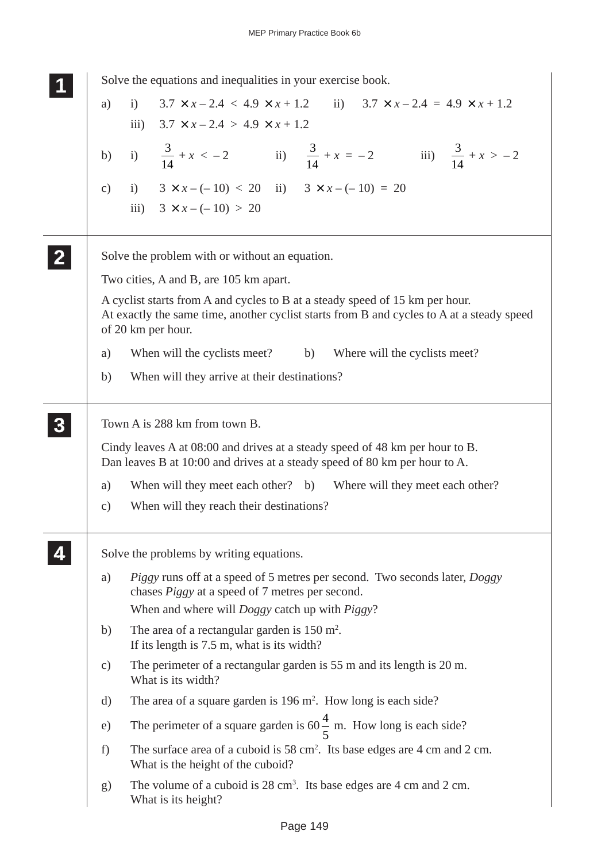| Solve the equations and inequalities in your exercise book.                                                                                                                                     |  |
|-------------------------------------------------------------------------------------------------------------------------------------------------------------------------------------------------|--|
| i) $3.7 \times x - 2.4 < 4.9 \times x + 1.2$ ii) $3.7 \times x - 2.4 = 4.9 \times x + 1.2$<br>a)                                                                                                |  |
| iii) $3.7 \times x - 2.4 > 4.9 \times x + 1.2$                                                                                                                                                  |  |
| b) i) $\frac{3}{14} + x < -2$ ii) $\frac{3}{14} + x = -2$ iii) $\frac{3}{14} + x > -2$                                                                                                          |  |
| c) i) $3 \times x - (-10) < 20$ ii) $3 \times x - (-10) = 20$                                                                                                                                   |  |
| iii) $3 \times x - (-10) > 20$                                                                                                                                                                  |  |
| Solve the problem with or without an equation.                                                                                                                                                  |  |
| Two cities, A and B, are 105 km apart.                                                                                                                                                          |  |
| A cyclist starts from A and cycles to B at a steady speed of 15 km per hour.<br>At exactly the same time, another cyclist starts from B and cycles to A at a steady speed<br>of 20 km per hour. |  |
| When will the cyclists meet? b) Where will the cyclists meet?<br>a)                                                                                                                             |  |
| When will they arrive at their destinations?<br>b)                                                                                                                                              |  |
| Town A is 288 km from town B.                                                                                                                                                                   |  |
| Cindy leaves A at 08:00 and drives at a steady speed of 48 km per hour to B.<br>Dan leaves B at 10:00 and drives at a steady speed of 80 km per hour to A.                                      |  |
| When will they meet each other? b) Where will they meet each other?<br>a)                                                                                                                       |  |
| When will they reach their destinations?<br>$\mathbf{c})$                                                                                                                                       |  |
| Solve the problems by writing equations.                                                                                                                                                        |  |
| Piggy runs off at a speed of 5 metres per second. Two seconds later, Doggy<br>a)<br>chases <i>Piggy</i> at a speed of 7 metres per second.                                                      |  |
| When and where will <i>Doggy</i> catch up with <i>Piggy</i> ?                                                                                                                                   |  |
| The area of a rectangular garden is $150 \text{ m}^2$ .<br>b)<br>If its length is 7.5 m, what is its width?                                                                                     |  |
| The perimeter of a rectangular garden is 55 m and its length is 20 m.<br>c)<br>What is its width?                                                                                               |  |
| The area of a square garden is $196 \text{ m}^2$ . How long is each side?<br>d)                                                                                                                 |  |
| The perimeter of a square garden is $60\frac{4}{5}$ m. How long is each side?<br>e)                                                                                                             |  |
| The surface area of a cuboid is $58 \text{ cm}^2$ . Its base edges are 4 cm and 2 cm.<br>f)<br>What is the height of the cuboid?                                                                |  |
| The volume of a cuboid is 28 cm <sup>3</sup> . Its base edges are 4 cm and 2 cm.<br>$\mathbf{g}$<br>What is its height?                                                                         |  |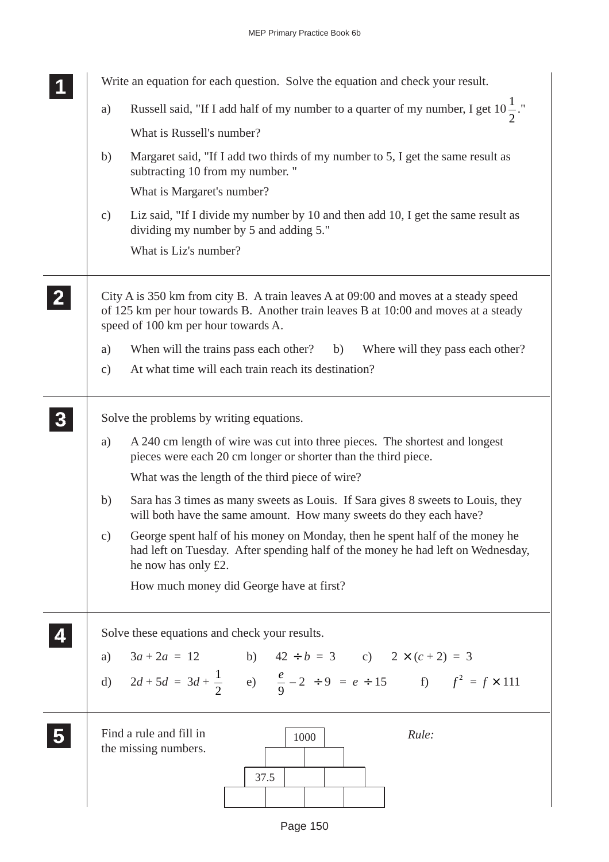|                | Write an equation for each question. Solve the equation and check your result.                                                                                                                                    |
|----------------|-------------------------------------------------------------------------------------------------------------------------------------------------------------------------------------------------------------------|
|                | Russell said, "If I add half of my number to a quarter of my number, I get $10\frac{1}{2}$ ."<br>a)                                                                                                               |
|                | What is Russell's number?                                                                                                                                                                                         |
|                | Margaret said, "If I add two thirds of my number to 5, I get the same result as<br>b)<br>subtracting 10 from my number."                                                                                          |
|                | What is Margaret's number?                                                                                                                                                                                        |
|                | Liz said, "If I divide my number by 10 and then add 10, I get the same result as<br>c)<br>dividing my number by 5 and adding 5."                                                                                  |
|                | What is Liz's number?                                                                                                                                                                                             |
| $\overline{2}$ | City A is 350 km from city B. A train leaves A at 09:00 and moves at a steady speed<br>of 125 km per hour towards B. Another train leaves B at 10:00 and moves at a steady<br>speed of 100 km per hour towards A. |
|                | When will the trains pass each other?<br>(b)<br>Where will they pass each other?<br>a)                                                                                                                            |
|                | At what time will each train reach its destination?<br>$\mathbf{c})$                                                                                                                                              |
| 3              | Solve the problems by writing equations.<br>A 240 cm length of wire was cut into three pieces. The shortest and longest<br>a)                                                                                     |
|                | pieces were each 20 cm longer or shorter than the third piece.                                                                                                                                                    |
|                | What was the length of the third piece of wire?                                                                                                                                                                   |
|                | Sara has 3 times as many sweets as Louis. If Sara gives 8 sweets to Louis, they<br>b)<br>will both have the same amount. How many sweets do they each have?                                                       |
|                | George spent half of his money on Monday, then he spent half of the money he<br>c)<br>had left on Tuesday. After spending half of the money he had left on Wednesday,<br>he now has only £2.                      |
|                | How much money did George have at first?                                                                                                                                                                          |
|                | Solve these equations and check your results.                                                                                                                                                                     |
|                |                                                                                                                                                                                                                   |
|                | a) $3a + 2a = 12$<br>b) $42 \div b = 3$<br>c) $2 \times (c + 2) = 3$<br>d) $2d + 5d = 3d + \frac{1}{2}$<br>e) $\frac{e}{9} - 2 \div 9 = e \div 15$<br>f) $f^2 = f \times 111$                                     |
|                |                                                                                                                                                                                                                   |
|                | Find a rule and fill in<br>Rule:<br>1000<br>the missing numbers.                                                                                                                                                  |
|                | 37.5                                                                                                                                                                                                              |
|                |                                                                                                                                                                                                                   |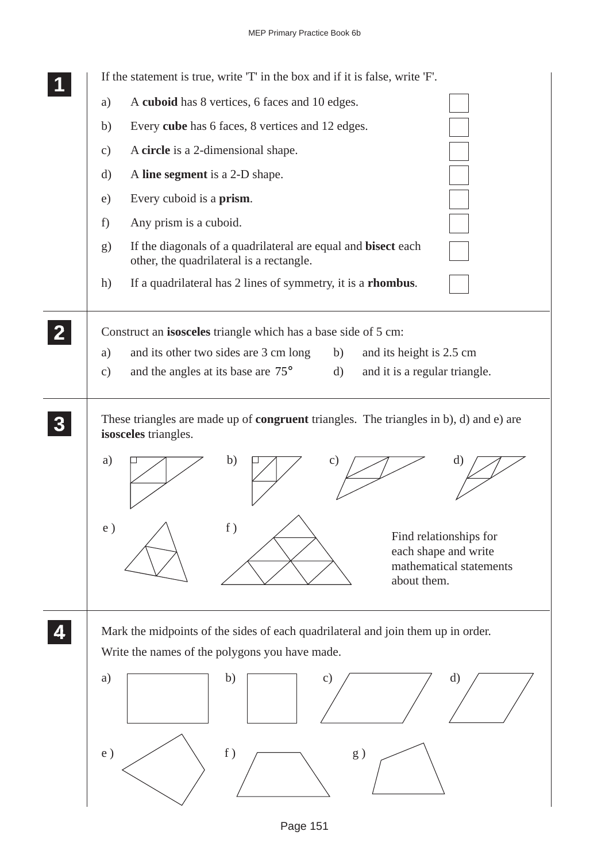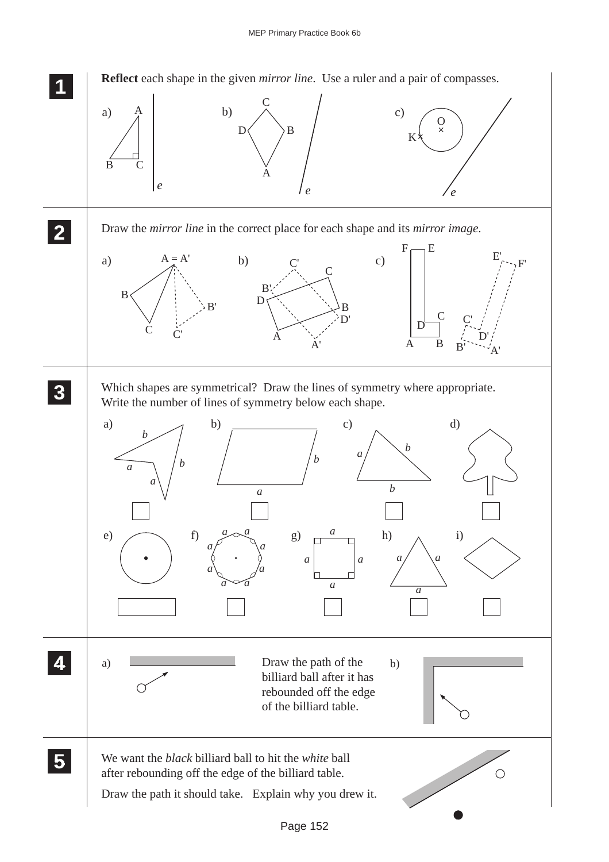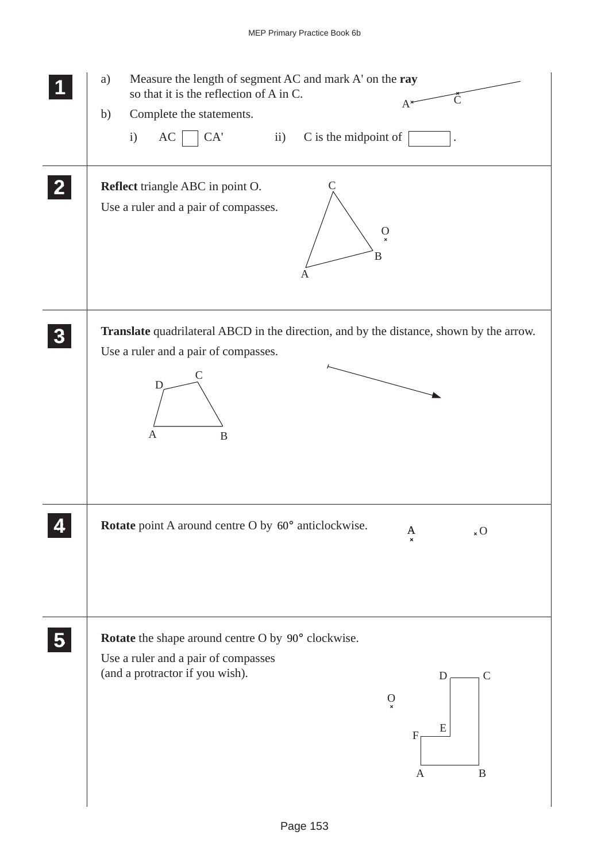|                | Measure the length of segment AC and mark A' on the ray<br>a)<br>so that it is the reflection of A in C.<br>$A^*$<br>Complete the statements.<br>b)<br>C is the midpoint of<br>i)<br>AC<br>CA<br>$\ddot{\mathbf{i}}$                                |
|----------------|-----------------------------------------------------------------------------------------------------------------------------------------------------------------------------------------------------------------------------------------------------|
| $\mathbf{2}$   | Reflect triangle ABC in point O.<br>Use a ruler and a pair of compasses.<br>$\rm _{\rm \bf x}$<br>B<br>Α                                                                                                                                            |
| 3              | Translate quadrilateral ABCD in the direction, and by the distance, shown by the arrow.<br>Use a ruler and a pair of compasses.<br>D<br>$\mathbf{A}$<br>$\mathbf B$                                                                                 |
|                | Rotate point A around centre O by 60° anticlockwise.<br>$_{\rm x}$ O<br>A<br>$\pmb{\times}$                                                                                                                                                         |
| 5 <sup>1</sup> | Rotate the shape around centre O by 90° clockwise.<br>Use a ruler and a pair of compasses<br>(and a protractor if you wish).<br>$\mathbf D$<br>$\mathsf{C}$<br>$\mathcal{O}$<br>$\mathbf{x}$<br>E<br>$\boldsymbol{\mathrm{F}}$<br>B<br>$\mathbf{A}$ |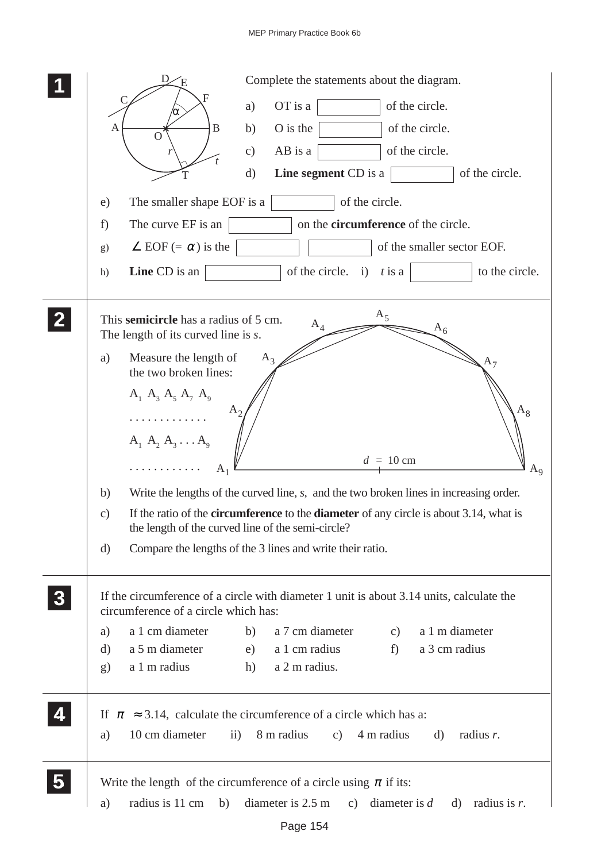|                | Complete the statements about the diagram.                                                                                                                                   |
|----------------|------------------------------------------------------------------------------------------------------------------------------------------------------------------------------|
|                | of the circle.<br>OT is a<br>a)                                                                                                                                              |
|                | O is the<br>of the circle.<br>B<br>b)<br>Α<br>O                                                                                                                              |
|                | AB is a<br>of the circle.<br>c)                                                                                                                                              |
|                | of the circle.<br>d)<br><b>Line segment</b> CD is a                                                                                                                          |
|                | of the circle.<br>The smaller shape EOF is a<br>e)                                                                                                                           |
|                | on the <b>circumference</b> of the circle.<br>The curve EF is an<br>f)                                                                                                       |
|                | of the smaller sector EOF.<br>$\angle$ EOF (= $\alpha$ ) is the<br>g)                                                                                                        |
|                | <b>Line</b> CD is an<br>of the circle.<br>to the circle.<br>$\mathbf{i}$<br>$t$ is a<br>h)                                                                                   |
| $\overline{2}$ | $A_5$<br>This semicircle has a radius of 5 cm.<br>$A_4$<br>$\mathcal{A}_6$<br>The length of its curved line is s.                                                            |
|                | Measure the length of<br>a)<br>$A_3$<br>$A_7$<br>the two broken lines:                                                                                                       |
|                | $A_1 A_3 A_5 A_7 A_9$                                                                                                                                                        |
|                | $\rm A_8$<br>$A_{2}$<br>.                                                                                                                                                    |
|                | $A_1 A_2 A_3 \ldots A_9$                                                                                                                                                     |
|                | $d = 10$ cm<br>$A_1$<br>$A_9$                                                                                                                                                |
|                | Write the lengths of the curved line, s, and the two broken lines in increasing order.<br>b)                                                                                 |
|                | If the ratio of the <b>circumference</b> to the <b>diameter</b> of any circle is about 3.14, what is<br>$\mathcal{C}$ )<br>the length of the curved line of the semi-circle? |
|                | Compare the lengths of the 3 lines and write their ratio.<br>d)                                                                                                              |
| 3              | If the circumference of a circle with diameter 1 unit is about 3.14 units, calculate the<br>circumference of a circle which has:                                             |
|                | a 1 cm diameter<br>a 7 cm diameter<br>a 1 m diameter<br>b)<br>c)<br>a)                                                                                                       |
|                | a 5 m diameter<br>a 3 cm radius<br>a 1 cm radius<br>$f$ )<br>d)<br>e)                                                                                                        |
|                | a 1 m radius<br>a 2 m radius.<br>h)<br>$\mathbf{g}$                                                                                                                          |
| 4              | If $\pi \approx 3.14$ , calculate the circumference of a circle which has a:                                                                                                 |
|                | 8 m radius<br>10 cm diameter<br>$\overline{11}$ )<br>4 m radius<br>c)<br>a)<br>d)<br>radius $r$ .                                                                            |
|                | Write the length of the circumference of a circle using $\pi$ if its:                                                                                                        |
|                | diameter is $2.5 \text{ m}$<br>radius is 11 cm<br>b)<br>c) diameter is $d$<br>d) radius is $r$ .<br>a)                                                                       |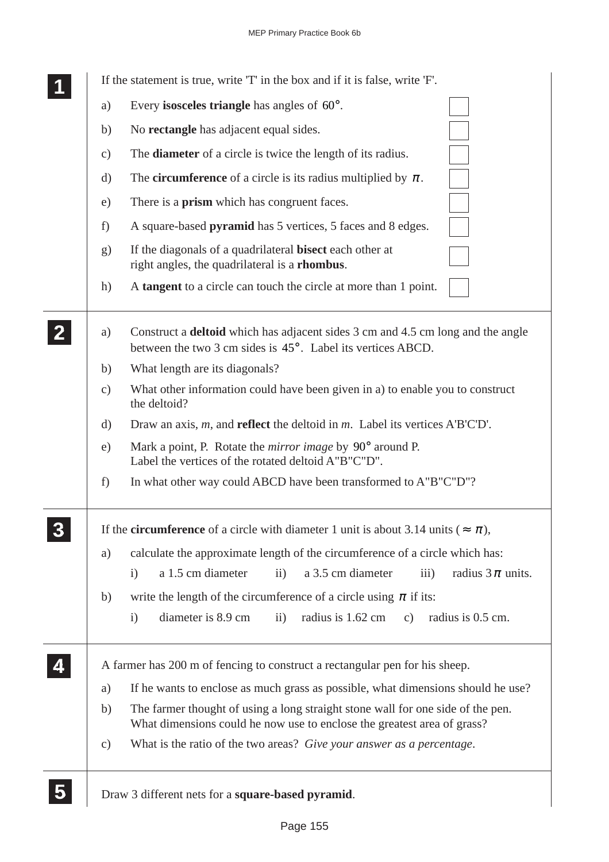|  |               | If the statement is true, write 'T' in the box and if it is false, write 'F'.                                                                              |
|--|---------------|------------------------------------------------------------------------------------------------------------------------------------------------------------|
|  | a)            | Every <b>isosceles triangle</b> has angles of $60^\circ$ .                                                                                                 |
|  | b)            | No <b>rectangle</b> has adjacent equal sides.                                                                                                              |
|  | $\mathbf{c})$ | The <b>diameter</b> of a circle is twice the length of its radius.                                                                                         |
|  | $\rm d)$      | The <b>circumference</b> of a circle is its radius multiplied by $\pi$ .                                                                                   |
|  | e)            | There is a <b>prism</b> which has congruent faces.                                                                                                         |
|  | f)            | A square-based pyramid has 5 vertices, 5 faces and 8 edges.                                                                                                |
|  | g)            | If the diagonals of a quadrilateral <b>bisect</b> each other at<br>right angles, the quadrilateral is a <b>rhombus</b> .                                   |
|  | h)            | A tangent to a circle can touch the circle at more than 1 point.                                                                                           |
|  | a)            | Construct a <b>deltoid</b> which has adjacent sides 3 cm and 4.5 cm long and the angle<br>between the two 3 cm sides is 45°. Label its vertices ABCD.      |
|  | b)            | What length are its diagonals?                                                                                                                             |
|  | $\mathbf{c})$ | What other information could have been given in a) to enable you to construct<br>the deltoid?                                                              |
|  | d)            | Draw an axis, $m$ , and <b>reflect</b> the deltoid in $m$ . Label its vertices A'B'C'D'.                                                                   |
|  | e)            | Mark a point, P. Rotate the <i>mirror image</i> by 90° around P.<br>Label the vertices of the rotated deltoid A"B"C"D".                                    |
|  | f)            | In what other way could ABCD have been transformed to A"B"C"D"?                                                                                            |
|  |               | If the <b>circumference</b> of a circle with diameter 1 unit is about 3.14 units ( $\approx \pi$ ),                                                        |
|  | a)            | calculate the approximate length of the circumference of a circle which has:                                                                               |
|  |               | a 1.5 cm diameter<br>a 3.5 cm diameter<br>$\mathbf{i}$<br>radius $3\pi$ units.<br>$\overline{ii}$ )<br>$\overline{iii}$                                    |
|  | b)            | write the length of the circumference of a circle using $\pi$ if its:                                                                                      |
|  |               | diameter is 8.9 cm<br>$\ddot{\mathbf{i}}$<br>radius is 1.62 cm<br>$\mathbf{c})$<br>radius is 0.5 cm.<br>$\mathbf{i}$                                       |
|  |               | A farmer has 200 m of fencing to construct a rectangular pen for his sheep.                                                                                |
|  | a)            | If he wants to enclose as much grass as possible, what dimensions should he use?                                                                           |
|  | b)            | The farmer thought of using a long straight stone wall for one side of the pen.<br>What dimensions could he now use to enclose the greatest area of grass? |
|  | $\mathbf{c})$ | What is the ratio of the two areas? Give your answer as a percentage.                                                                                      |
|  |               | Draw 3 different nets for a square-based pyramid.                                                                                                          |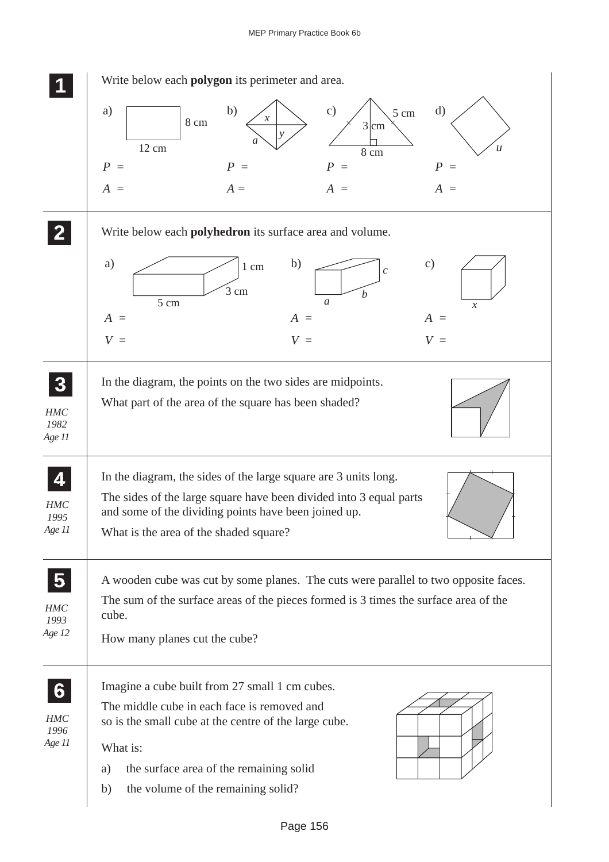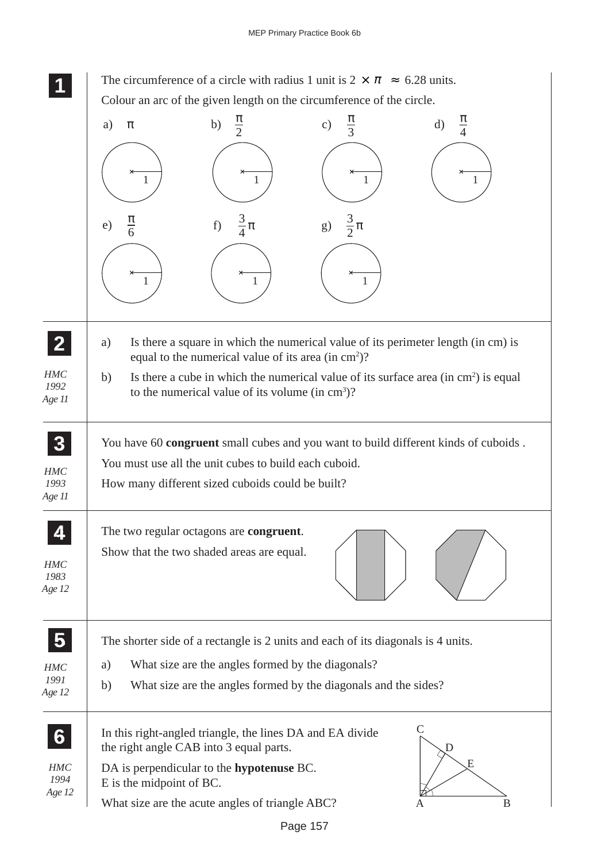**1 11** The circumference of a circle with radius 1 unit is  $2 \times \pi \approx 6.28$  units. Colour an arc of the given length on the circumference of the circle.

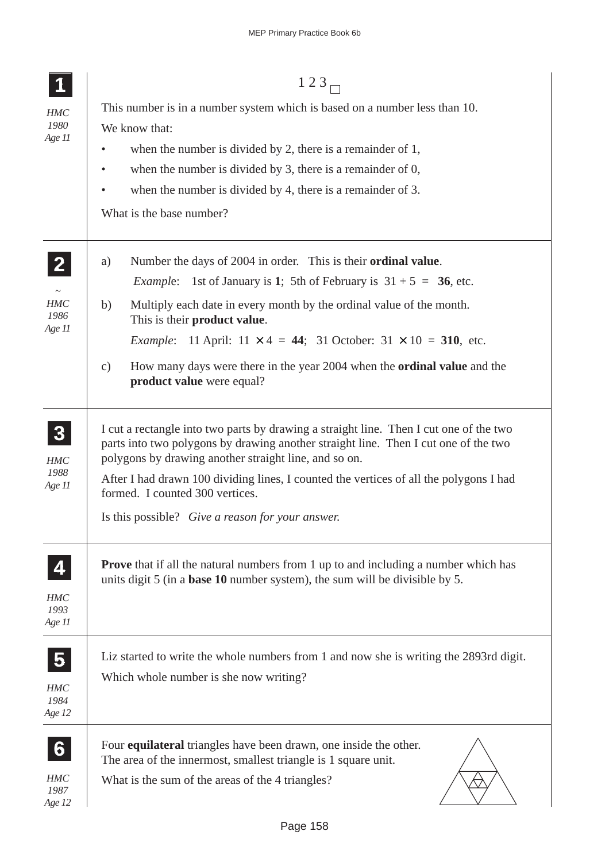|                            | 123 <sub>5</sub>                                                                                                                                                                                                                       |  |  |  |  |  |
|----------------------------|----------------------------------------------------------------------------------------------------------------------------------------------------------------------------------------------------------------------------------------|--|--|--|--|--|
| HMC                        | This number is in a number system which is based on a number less than 10.                                                                                                                                                             |  |  |  |  |  |
| 1980<br>Age 11             | We know that:                                                                                                                                                                                                                          |  |  |  |  |  |
|                            | when the number is divided by 2, there is a remainder of 1,<br>$\bullet$                                                                                                                                                               |  |  |  |  |  |
|                            | when the number is divided by 3, there is a remainder of $0$ ,<br>$\bullet$                                                                                                                                                            |  |  |  |  |  |
|                            | when the number is divided by 4, there is a remainder of 3.<br>$\bullet$                                                                                                                                                               |  |  |  |  |  |
|                            | What is the base number?                                                                                                                                                                                                               |  |  |  |  |  |
| $\overline{2}$             | Number the days of 2004 in order. This is their <b>ordinal value</b> .<br>a)                                                                                                                                                           |  |  |  |  |  |
|                            | 1st of January is 1; 5th of February is $31 + 5 = 36$ , etc.<br><i>Example:</i>                                                                                                                                                        |  |  |  |  |  |
| HMC<br>1986<br>Age 11      | b)<br>Multiply each date in every month by the ordinal value of the month.<br>This is their product value.                                                                                                                             |  |  |  |  |  |
|                            | <i>Example</i> : 11 April: $11 \times 4 = 44$ ; 31 October: $31 \times 10 = 310$ , etc.                                                                                                                                                |  |  |  |  |  |
|                            | How many days were there in the year 2004 when the <b>ordinal value</b> and the<br>$\mathbf{c})$<br>product value were equal?                                                                                                          |  |  |  |  |  |
| 3<br><b>HMC</b>            | I cut a rectangle into two parts by drawing a straight line. Then I cut one of the two<br>parts into two polygons by drawing another straight line. Then I cut one of the two<br>polygons by drawing another straight line, and so on. |  |  |  |  |  |
| 1988<br>Age 11             | After I had drawn 100 dividing lines, I counted the vertices of all the polygons I had<br>formed. I counted 300 vertices.                                                                                                              |  |  |  |  |  |
|                            | Is this possible? Give a reason for your answer.                                                                                                                                                                                       |  |  |  |  |  |
| 4<br>HMC<br>1993<br>Age 11 | <b>Prove</b> that if all the natural numbers from 1 up to and including a number which has<br>units digit 5 (in a <b>base 10</b> number system), the sum will be divisible by 5.                                                       |  |  |  |  |  |
| $\overline{\mathbf{5}}$    | Liz started to write the whole numbers from 1 and now she is writing the 2893rd digit.                                                                                                                                                 |  |  |  |  |  |
| HMC<br>1984<br>Age 12      | Which whole number is she now writing?                                                                                                                                                                                                 |  |  |  |  |  |
| 6                          | Four <b>equilateral</b> triangles have been drawn, one inside the other.<br>The area of the innermost, smallest triangle is 1 square unit.                                                                                             |  |  |  |  |  |
| HMC<br>1987<br>Age 12      | What is the sum of the areas of the 4 triangles?                                                                                                                                                                                       |  |  |  |  |  |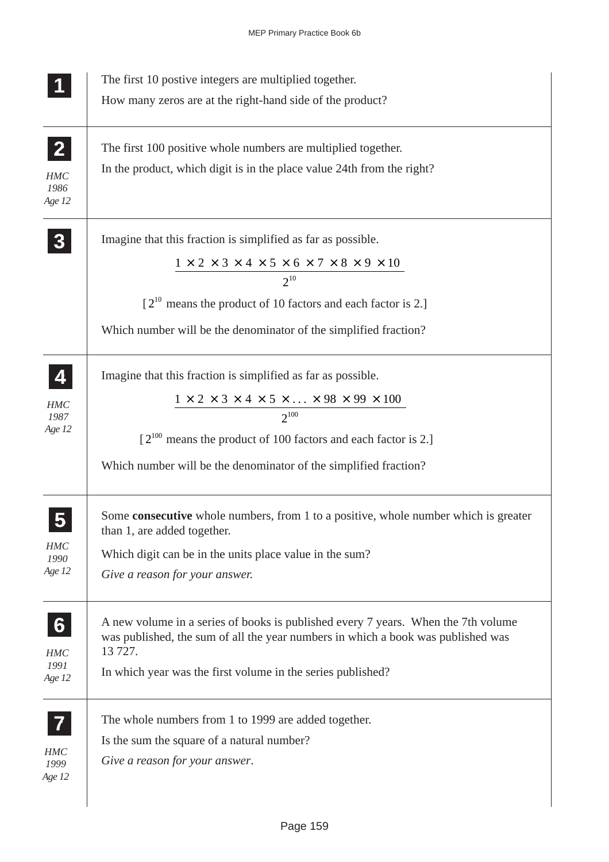|                                                | The first 10 postive integers are multiplied together.<br>How many zeros are at the right-hand side of the product?                                                                                                                                                                                       |
|------------------------------------------------|-----------------------------------------------------------------------------------------------------------------------------------------------------------------------------------------------------------------------------------------------------------------------------------------------------------|
| $\mathbf{2}$<br><b>HMC</b><br>1986<br>Age 12   | The first 100 positive whole numbers are multiplied together.<br>In the product, which digit is in the place value 24th from the right?                                                                                                                                                                   |
|                                                | Imagine that this fraction is simplified as far as possible.<br>$1 \times 2 \times 3 \times 4 \times 5 \times 6 \times 7 \times 8 \times 9 \times 10$<br>$2^{10}$<br>$[2^{10}$ means the product of 10 factors and each factor is 2.]<br>Which number will be the denominator of the simplified fraction? |
| 4<br><b>HMC</b><br>1987<br>Age 12              | Imagine that this fraction is simplified as far as possible.<br>$1\times2\times3\times4\times5\times\ldots\times98\times99\times100$<br>$2^{100}$<br>$[2^{100}$ means the product of 100 factors and each factor is 2.]<br>Which number will be the denominator of the simplified fraction?               |
| <b>HMC</b><br>1990<br>Age 12                   | Some <b>consecutive</b> whole numbers, from 1 to a positive, whole number which is greater<br>than 1, are added together.<br>Which digit can be in the units place value in the sum?<br>Give a reason for your answer.                                                                                    |
| $6\phantom{1}$<br><b>HMC</b><br>1991<br>Age 12 | A new volume in a series of books is published every 7 years. When the 7th volume<br>was published, the sum of all the year numbers in which a book was published was<br>13 727.<br>In which year was the first volume in the series published?                                                           |
| 7<br><b>HMC</b><br>1999<br>Age 12              | The whole numbers from 1 to 1999 are added together.<br>Is the sum the square of a natural number?<br>Give a reason for your answer.                                                                                                                                                                      |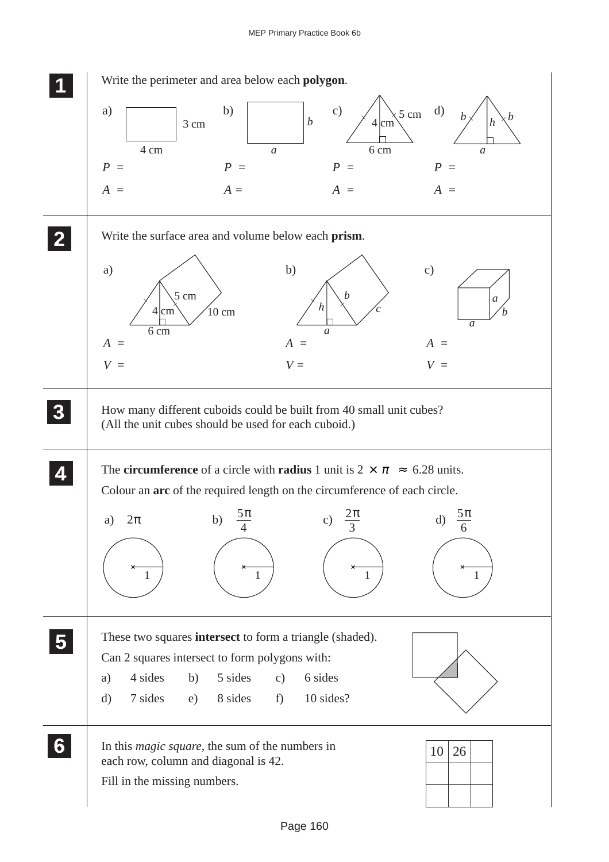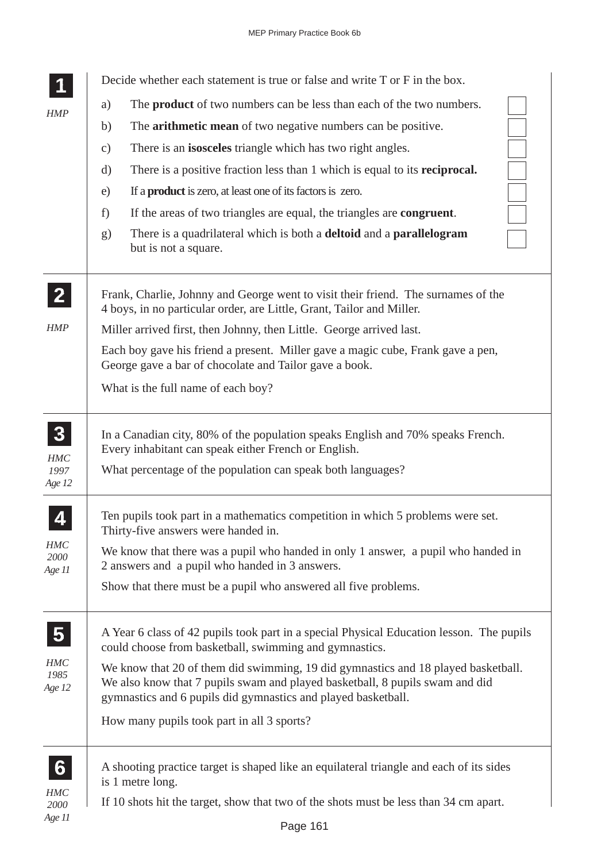|                                | Decide whether each statement is true or false and write T or F in the box.                                                                                                                                                        |
|--------------------------------|------------------------------------------------------------------------------------------------------------------------------------------------------------------------------------------------------------------------------------|
| <b>HMP</b>                     | The <b>product</b> of two numbers can be less than each of the two numbers.<br>a)                                                                                                                                                  |
|                                | The <b>arithmetic mean</b> of two negative numbers can be positive.<br>b)                                                                                                                                                          |
|                                | There is an <b>isosceles</b> triangle which has two right angles.<br>$\mathbf{c})$                                                                                                                                                 |
|                                | There is a positive fraction less than 1 which is equal to its <b>reciprocal.</b><br>d)                                                                                                                                            |
|                                | If a <b>product</b> is zero, at least one of its factors is zero.<br>e)                                                                                                                                                            |
|                                | If the areas of two triangles are equal, the triangles are congruent.<br>f)                                                                                                                                                        |
|                                | There is a quadrilateral which is both a <b>deltoid</b> and a <b>parallelogram</b><br>g)<br>but is not a square.                                                                                                                   |
| $\mathbf{2}$                   | Frank, Charlie, Johnny and George went to visit their friend. The surnames of the<br>4 boys, in no particular order, are Little, Grant, Tailor and Miller.                                                                         |
| HMP                            | Miller arrived first, then Johnny, then Little. George arrived last.                                                                                                                                                               |
|                                | Each boy gave his friend a present. Miller gave a magic cube, Frank gave a pen,<br>George gave a bar of chocolate and Tailor gave a book.                                                                                          |
|                                | What is the full name of each boy?                                                                                                                                                                                                 |
| $\boldsymbol{3}$<br><b>HMC</b> | In a Canadian city, 80% of the population speaks English and 70% speaks French.<br>Every inhabitant can speak either French or English.                                                                                            |
| 1997<br>Age 12                 | What percentage of the population can speak both languages?                                                                                                                                                                        |
| $\boldsymbol{\varDelta}$       | Ten pupils took part in a mathematics competition in which 5 problems were set.<br>Thirty-five answers were handed in.                                                                                                             |
| <b>HMC</b><br>2000<br>Age 11   | We know that there was a pupil who handed in only 1 answer, a pupil who handed in<br>2 answers and a pupil who handed in 3 answers.                                                                                                |
|                                | Show that there must be a pupil who answered all five problems.                                                                                                                                                                    |
| $\overline{\mathbf{5}}$        | A Year 6 class of 42 pupils took part in a special Physical Education lesson. The pupils<br>could choose from basketball, swimming and gymnastics.                                                                                 |
| HMC<br>1985<br>Age 12          | We know that 20 of them did swimming, 19 did gymnastics and 18 played basketball.<br>We also know that 7 pupils swam and played basketball, 8 pupils swam and did<br>gymnastics and 6 pupils did gymnastics and played basketball. |
|                                | How many pupils took part in all 3 sports?                                                                                                                                                                                         |
| 6                              | A shooting practice target is shaped like an equilateral triangle and each of its sides<br>is 1 metre long.                                                                                                                        |
| <b>HMC</b>                     | If 10 shots hit the target, show that two of the shots must be less than 34 cm apart.                                                                                                                                              |
| 2000<br>Age 11                 |                                                                                                                                                                                                                                    |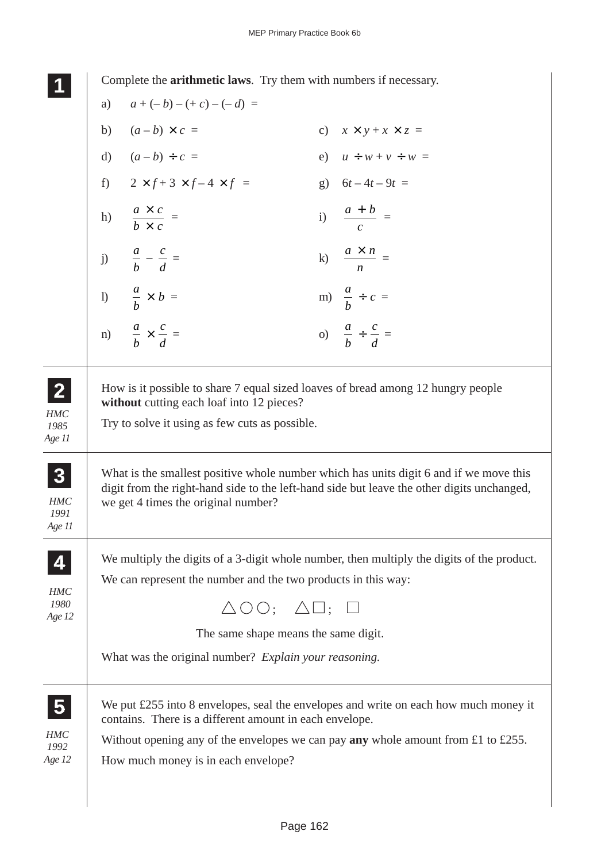**1 11 11** Complete the **arithmetic laws**. Try them with numbers if necessary.

|                                       | a) | $a + (-b) - (+c) - (-d) =$                                                                     |                                              |                                                                                                                                                                                      |
|---------------------------------------|----|------------------------------------------------------------------------------------------------|----------------------------------------------|--------------------------------------------------------------------------------------------------------------------------------------------------------------------------------------|
|                                       |    | b) $(a-b) \times c =$                                                                          |                                              | c) $x \times y + x \times z =$                                                                                                                                                       |
|                                       |    | d) $(a - b) \div c =$                                                                          |                                              | e) $u \div w + v \div w =$                                                                                                                                                           |
|                                       |    | f) $2 \times f + 3 \times f - 4 \times f =$                                                    |                                              | g) $6t-4t-9t =$                                                                                                                                                                      |
|                                       |    | h) $\frac{a \times c}{b \times c}$ =                                                           |                                              | i) $\frac{a+b}{c}$ =                                                                                                                                                                 |
|                                       |    | j) $\frac{a}{b} - \frac{c}{d} =$                                                               |                                              | k) $\frac{a \times n}{n}$ =                                                                                                                                                          |
|                                       |    | 1) $\frac{a}{b} \times b =$                                                                    |                                              | m) $\frac{a}{b} \div c =$                                                                                                                                                            |
|                                       |    | n) $\frac{a}{b} \times \frac{c}{d} =$                                                          |                                              | (a) $\frac{a}{b} \div \frac{c}{d} =$                                                                                                                                                 |
| $\mathbf{2}$<br>HMC<br>1985<br>Age 11 |    | without cutting each loaf into 12 pieces?<br>Try to solve it using as few cuts as possible.    |                                              | How is it possible to share 7 equal sized loaves of bread among 12 hungry people                                                                                                     |
| 3<br>HMC<br>1991<br>Age 11            |    | we get 4 times the original number?                                                            |                                              | What is the smallest positive whole number which has units digit 6 and if we move this<br>digit from the right-hand side to the left-hand side but leave the other digits unchanged, |
| 4                                     |    |                                                                                                |                                              | We multiply the digits of a 3-digit whole number, then multiply the digits of the product.                                                                                           |
| HMC<br>1980                           |    | We can represent the number and the two products in this way:                                  |                                              |                                                                                                                                                                                      |
| Age 12                                |    |                                                                                                | $\triangle$ O O; $\triangle$ $\Box$ ; $\Box$ |                                                                                                                                                                                      |
|                                       |    | The same shape means the same digit.                                                           |                                              |                                                                                                                                                                                      |
|                                       |    | What was the original number? Explain your reasoning.                                          |                                              |                                                                                                                                                                                      |
| 5<br>HMC<br>1992<br>Age 12            |    | contains. There is a different amount in each envelope.<br>How much money is in each envelope? |                                              | We put £255 into 8 envelopes, seal the envelopes and write on each how much money it<br>Without opening any of the envelopes we can pay any whole amount from £1 to £255.            |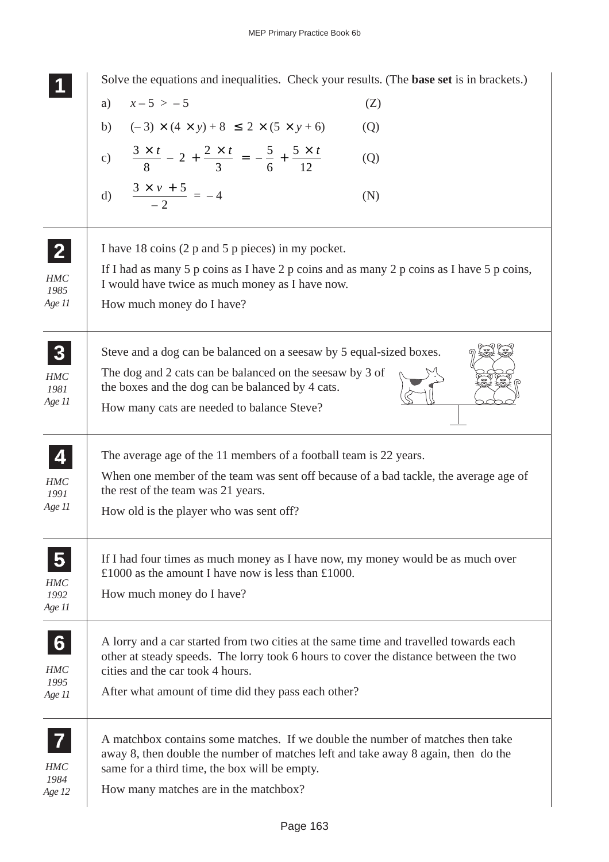**1 11 11 2 22 22 3 33 33 33** Solve the equations and inequalities. Check your results. (The **base set** is in brackets.) a)  $x-5 > -5$  (Z) b)  $(-3) \times (4 \times y) + 8 \le 2 \times (5 \times y + 6)$  (Q) c)  $\frac{3}{2}$ 8  $2 + \frac{2}{ }$ 3 5 6 5 12  $\frac{x}{2} + \frac{2x}{3} = -\frac{5}{5} + \frac{5x}{13}$  (Q) d)  $\frac{3 \times v + 5}{2}$ 2  $\frac{x v + 5}{-2} = -4$  (N) I have 18 coins (2 p and 5 p pieces) in my pocket. If I had as many 5 p coins as I have 2 p coins and as many 2 p coins as I have 5 p coins, I would have twice as much money as I have now. How much money do I have? Steve and a dog can be balanced on a seesaw by 5 equal-sized boxes. The dog and 2 cats can be balanced on the seesaw by 3 of the boxes and the dog can be balanced by 4 cats. How many cats are needed to balance Steve? The average age of the 11 members of a football team is 22 years. When one member of the team was sent off because of a bad tackle, the average age of the rest of the team was 21 years. How old is the player who was sent off? If I had four times as much money as I have now, my money would be as much over £1000 as the amount I have now is less than £1000. How much money do I have? A lorry and a car started from two cities at the same time and travelled towards each other at steady speeds. The lorry took 6 hours to cover the distance between the two cities and the car took 4 hours. After what amount of time did they pass each other? A matchbox contains some matches. If we double the number of matches then take away 8, then double the number of matches left and take away 8 again, then do the same for a third time, the box will be empty. How many matches are in the matchbox? **4 44 44** *HMC 1991 Age 11* **5 55 55 6 66 66 66** *HMC 1995 Age 11* **7 77 77** *HMC 1984 Age 12 HMC 1981 Age 11 HMC 1985 Age 11 HMC 1992 Age 11*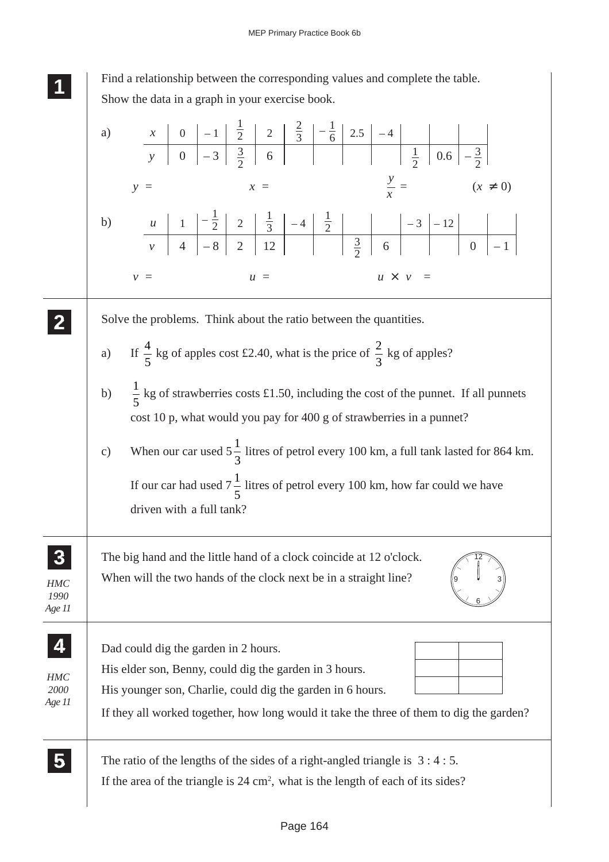

Find a relationship between the corresponding values and complete the table. Show the data in a graph in your exercise book.

|                              | a)                                                                                                                                                                                                                                                                         |
|------------------------------|----------------------------------------------------------------------------------------------------------------------------------------------------------------------------------------------------------------------------------------------------------------------------|
|                              | $\frac{y}{x}$ =<br>$(x \neq 0)$<br>$x =$<br>$y =$                                                                                                                                                                                                                          |
|                              | b)                                                                                                                                                                                                                                                                         |
|                              | $u \times v =$<br>$u =$<br>$v =$                                                                                                                                                                                                                                           |
|                              | Solve the problems. Think about the ratio between the quantities.<br>a) If $\frac{4}{5}$ kg of apples cost £2.40, what is the price of $\frac{2}{3}$ kg of apples?<br>$\frac{1}{5}$ kg of strawberries costs £1.50, including the cost of the punnet. If all punnets<br>b) |
|                              | cost 10 p, what would you pay for 400 g of strawberries in a punnet?                                                                                                                                                                                                       |
|                              | When our car used $5\frac{1}{3}$ litres of petrol every 100 km, a full tank lasted for 864 km.<br>$\mathbf{c})$<br>If our car had used $7\frac{1}{5}$ litres of petrol every 100 km, how far could we have<br>driven with a full tank?                                     |
| <b>HMC</b><br>1990<br>Age 11 | The big hand and the little hand of a clock coincide at 12 o'clock.<br>When will the two hands of the clock next be in a straight line?                                                                                                                                    |
| <b>HMC</b><br>2000<br>Age 11 | Dad could dig the garden in 2 hours.<br>His elder son, Benny, could dig the garden in 3 hours.<br>His younger son, Charlie, could dig the garden in 6 hours.<br>If they all worked together, how long would it take the three of them to dig the garden?                   |
|                              | The ratio of the lengths of the sides of a right-angled triangle is $3:4:5$ .<br>If the area of the triangle is $24 \text{ cm}^2$ , what is the length of each of its sides?                                                                                               |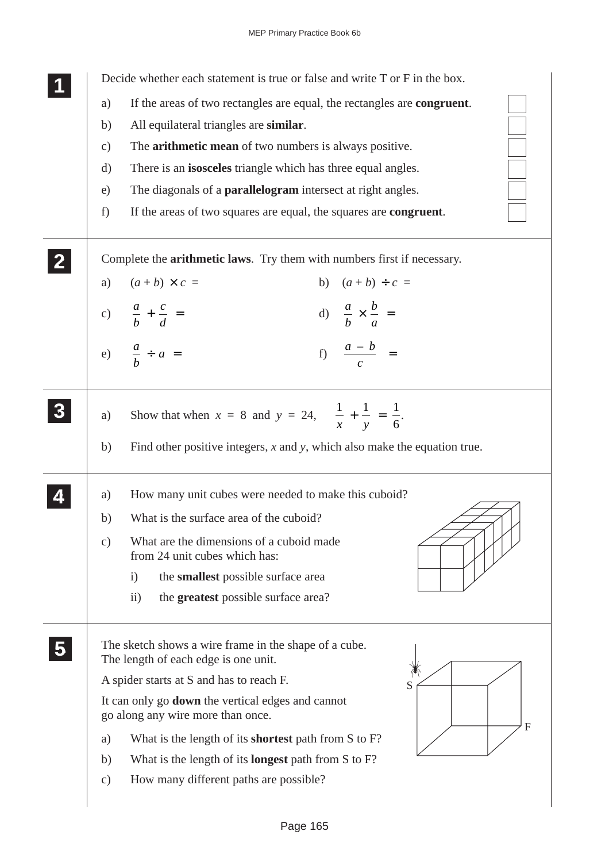Decide whether each statement is true or false and write T or F in the box.

a) If the areas of two rectangles are equal, the rectangles are **congruent**. b) All equilateral triangles are **similar**. c) The **arithmetic mean** of two numbers is always positive. d) There is an **isosceles** triangle which has three equal angles. e) The diagonals of a **parallelogram** intersect at right angles. f) If the areas of two squares are equal, the squares are **congruent**. Complete the **arithmetic laws**. Try them with numbers first if necessary. a)  $(a + b) \times c =$  b)  $(a + b) \div c =$ c)  $\frac{a}{a}$ *b c d*  $+\frac{c}{4}$  = d)  $\frac{a}{4}$ *b b a*  $\times$   $\frac{6}{x}$  = e)  $\frac{a}{a}$ *b*  $\div a =$  f)  $\frac{a-b}{a-b}$ *c*  $\frac{-b}{\ }$  = a) Show that when  $x = 8$  and  $y = 24$ ,  $\frac{1}{1} + \frac{1}{1} = \frac{1}{6}$ *x y* 6  $+ - = -$ . b) Find other positive integers, *x* and *y*, which also make the equation true. a) How many unit cubes were needed to make this cuboid? b) What is the surface area of the cuboid? c) What are the dimensions of a cuboid made from 24 unit cubes which has: i) the **smallest** possible surface area ii) the **greatest** possible surface area? The sketch shows a wire frame in the shape of a cube. The length of each edge is one unit. A spider starts at S and has to reach F. It can only go **down** the vertical edges and cannot go along any wire more than once. a) What is the length of its **shortest** path from S to F? **1 11 11 2 22 22 3 33 33 33 4 44 44 5 55 55** S F

- b) What is the length of its **longest** path from S to F?
- c) How many different paths are possible?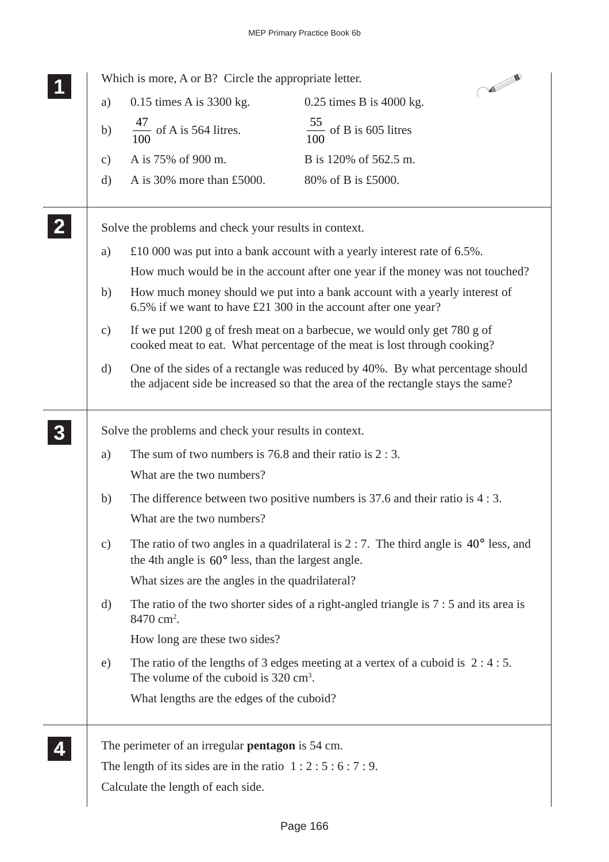**CONTROLLER** Which is more, A or B? Circle the appropriate letter. **1 11 11** a) 0.15 times A is 3300 kg. 0.25 times B is 4000 kg. b)  $\frac{47}{100}$ of A is 564 litres.  $\frac{55}{100}$  of B is 605 litres 100 100 c) A is 75% of 900 m. B is 120% of 562.5 m. d) A is 30% more than £5000. 80% of B is £5000. **2 22 22** Solve the problems and check your results in context. a) £10 000 was put into a bank account with a yearly interest rate of 6.5%. How much would be in the account after one year if the money was not touched? b) How much money should we put into a bank account with a yearly interest of 6.5% if we want to have £21 300 in the account after one year? c) If we put 1200 g of fresh meat on a barbecue, we would only get 780 g of cooked meat to eat. What percentage of the meat is lost through cooking? d) One of the sides of a rectangle was reduced by 40%. By what percentage should the adjacent side be increased so that the area of the rectangle stays the same? **3 33** Solve the problems and check your results in context. **33 33** a) The sum of two numbers is 76.8 and their ratio is 2 : 3. What are the two numbers? b) The difference between two positive numbers is 37.6 and their ratio is 4 : 3. What are the two numbers? c) The ratio of two angles in a quadrilateral is 2 : 7. The third angle is 40° less, and the 4th angle is 60° less, than the largest angle. What sizes are the angles in the quadrilateral? d) The ratio of the two shorter sides of a right-angled triangle is 7 : 5 and its area is 8470 cm<sup>2</sup>. How long are these two sides? e) The ratio of the lengths of 3 edges meeting at a vertex of a cuboid is 2 : 4 : 5. The volume of the cuboid is 320 cm<sup>3</sup>. What lengths are the edges of the cuboid? **4 44** The perimeter of an irregular **pentagon** is 54 cm. **44**The length of its sides are in the ratio  $1:2:5:6:7:9$ . Calculate the length of each side.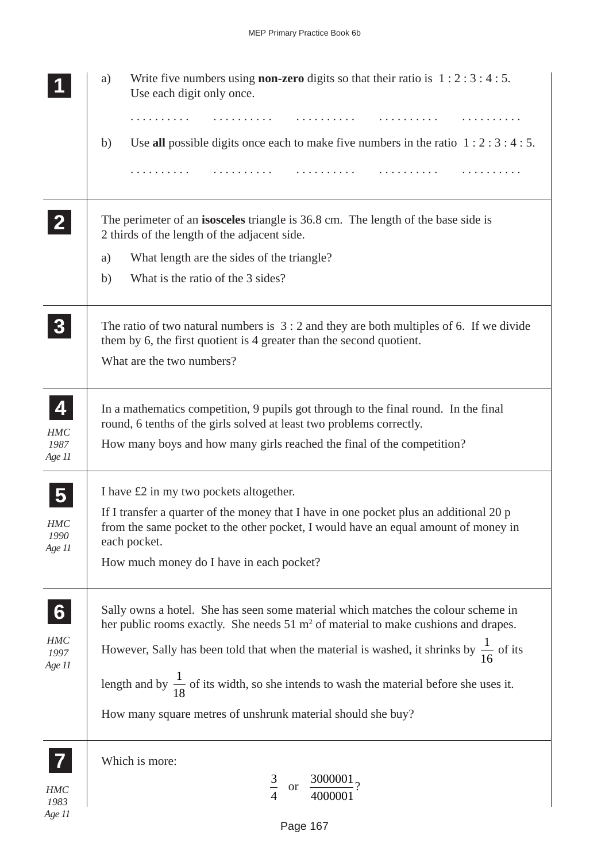|                                                         | Write five numbers using <b>non-zero</b> digits so that their ratio is $1:2:3:4:5$ .<br>a)<br>Use each digit only once.                                                                                                                                                                                                                                                                                                                                       |
|---------------------------------------------------------|---------------------------------------------------------------------------------------------------------------------------------------------------------------------------------------------------------------------------------------------------------------------------------------------------------------------------------------------------------------------------------------------------------------------------------------------------------------|
|                                                         | Use all possible digits once each to make five numbers in the ratio $1:2:3:4:5$ .<br>b)                                                                                                                                                                                                                                                                                                                                                                       |
| $\overline{2}$                                          | The perimeter of an <b>isosceles</b> triangle is 36.8 cm. The length of the base side is<br>2 thirds of the length of the adjacent side.                                                                                                                                                                                                                                                                                                                      |
|                                                         | What length are the sides of the triangle?<br>a)<br>What is the ratio of the 3 sides?<br>b)                                                                                                                                                                                                                                                                                                                                                                   |
| $\boldsymbol{3}$                                        | The ratio of two natural numbers is $3:2$ and they are both multiples of 6. If we divide<br>them by 6, the first quotient is 4 greater than the second quotient.<br>What are the two numbers?                                                                                                                                                                                                                                                                 |
| 4<br>HMC<br>1987<br>Age 11                              | In a mathematics competition, 9 pupils got through to the final round. In the final<br>round, 6 tenths of the girls solved at least two problems correctly.<br>How many boys and how many girls reached the final of the competition?                                                                                                                                                                                                                         |
| $\overline{\mathbf{5}}$<br><b>HMC</b><br>1990<br>Age 11 | I have £2 in my two pockets altogether.<br>If I transfer a quarter of the money that I have in one pocket plus an additional 20 p<br>from the same pocket to the other pocket, I would have an equal amount of money in<br>each pocket.<br>How much money do I have in each pocket?                                                                                                                                                                           |
| 6<br><b>HMC</b><br>1997<br>Age 11                       | Sally owns a hotel. She has seen some material which matches the colour scheme in<br>her public rooms exactly. She needs $51 \text{ m}^2$ of material to make cushions and drapes.<br>However, Sally has been told that when the material is washed, it shrinks by $\frac{1}{16}$ of its<br>length and by $\frac{1}{18}$ of its width, so she intends to wash the material before she uses it.<br>How many square metres of unshrunk material should she buy? |
| $HMC$<br>1983<br>Age 11                                 | Which is more:<br>$rac{3}{4}$<br>or $\frac{3000001}{4000001}$ ?                                                                                                                                                                                                                                                                                                                                                                                               |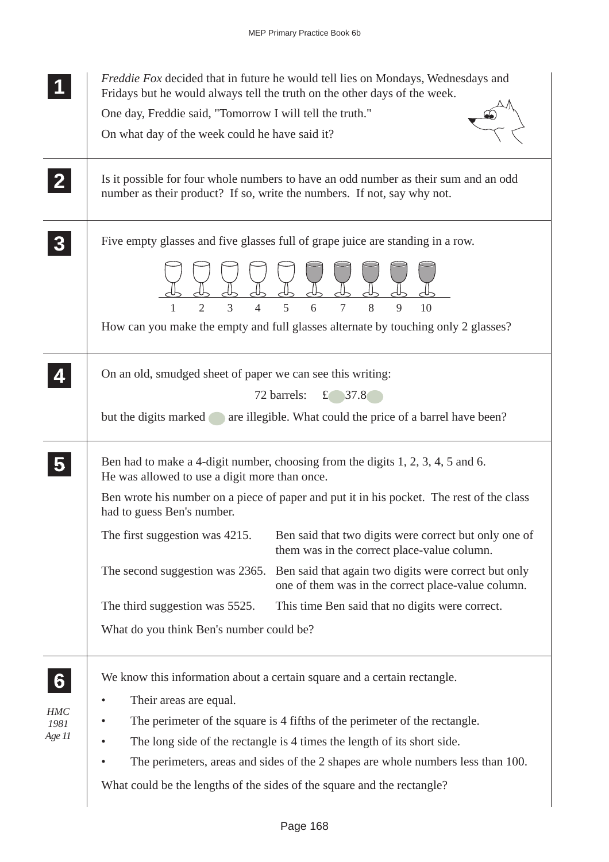| One day, Freddie said, "Tomorrow I will tell the truth."<br>On what day of the week could he have said it?<br>Is it possible for four whole numbers to have an odd number as their sum and an odd<br>$\mathbf{2}$<br>number as their product? If so, write the numbers. If not, say why not.<br>Five empty glasses and five glasses full of grape juice are standing in a row.<br>$\overline{2}$<br>3<br>5<br>8<br>6<br>$\overline{7}$<br>$\overline{4}$<br>9<br>10<br>How can you make the empty and full glasses alternate by touching only 2 glasses?<br>On an old, smudged sheet of paper we can see this writing:<br>£ $37.8$<br>72 barrels:<br>but the digits marked are illegible. What could the price of a barrel have been?<br>Ben had to make a 4-digit number, choosing from the digits 1, 2, 3, 4, 5 and 6.<br>He was allowed to use a digit more than once.<br>Ben wrote his number on a piece of paper and put it in his pocket. The rest of the class<br>had to guess Ben's number.<br>The first suggestion was 4215.<br>Ben said that two digits were correct but only one of<br>them was in the correct place-value column.<br>The second suggestion was 2365.<br>Ben said that again two digits were correct but only<br>one of them was in the correct place-value column.<br>The third suggestion was 5525.<br>This time Ben said that no digits were correct.<br>What do you think Ben's number could be?<br>We know this information about a certain square and a certain rectangle.<br>6<br>Their areas are equal.<br><b>HMC</b><br>The perimeter of the square is 4 fifths of the perimeter of the rectangle.<br>1981<br>Age 11<br>The long side of the rectangle is 4 times the length of its short side.<br>The perimeters, areas and sides of the 2 shapes are whole numbers less than 100. | <i>Freddie Fox</i> decided that in future he would tell lies on Mondays, Wednesdays and<br>Fridays but he would always tell the truth on the other days of the week. |
|-------------------------------------------------------------------------------------------------------------------------------------------------------------------------------------------------------------------------------------------------------------------------------------------------------------------------------------------------------------------------------------------------------------------------------------------------------------------------------------------------------------------------------------------------------------------------------------------------------------------------------------------------------------------------------------------------------------------------------------------------------------------------------------------------------------------------------------------------------------------------------------------------------------------------------------------------------------------------------------------------------------------------------------------------------------------------------------------------------------------------------------------------------------------------------------------------------------------------------------------------------------------------------------------------------------------------------------------------------------------------------------------------------------------------------------------------------------------------------------------------------------------------------------------------------------------------------------------------------------------------------------------------------------------------------------------------------------------------------------------------------------------------------------------------------------------------|----------------------------------------------------------------------------------------------------------------------------------------------------------------------|
|                                                                                                                                                                                                                                                                                                                                                                                                                                                                                                                                                                                                                                                                                                                                                                                                                                                                                                                                                                                                                                                                                                                                                                                                                                                                                                                                                                                                                                                                                                                                                                                                                                                                                                                                                                                                                         |                                                                                                                                                                      |
|                                                                                                                                                                                                                                                                                                                                                                                                                                                                                                                                                                                                                                                                                                                                                                                                                                                                                                                                                                                                                                                                                                                                                                                                                                                                                                                                                                                                                                                                                                                                                                                                                                                                                                                                                                                                                         |                                                                                                                                                                      |
|                                                                                                                                                                                                                                                                                                                                                                                                                                                                                                                                                                                                                                                                                                                                                                                                                                                                                                                                                                                                                                                                                                                                                                                                                                                                                                                                                                                                                                                                                                                                                                                                                                                                                                                                                                                                                         |                                                                                                                                                                      |
|                                                                                                                                                                                                                                                                                                                                                                                                                                                                                                                                                                                                                                                                                                                                                                                                                                                                                                                                                                                                                                                                                                                                                                                                                                                                                                                                                                                                                                                                                                                                                                                                                                                                                                                                                                                                                         |                                                                                                                                                                      |
|                                                                                                                                                                                                                                                                                                                                                                                                                                                                                                                                                                                                                                                                                                                                                                                                                                                                                                                                                                                                                                                                                                                                                                                                                                                                                                                                                                                                                                                                                                                                                                                                                                                                                                                                                                                                                         |                                                                                                                                                                      |
|                                                                                                                                                                                                                                                                                                                                                                                                                                                                                                                                                                                                                                                                                                                                                                                                                                                                                                                                                                                                                                                                                                                                                                                                                                                                                                                                                                                                                                                                                                                                                                                                                                                                                                                                                                                                                         |                                                                                                                                                                      |
|                                                                                                                                                                                                                                                                                                                                                                                                                                                                                                                                                                                                                                                                                                                                                                                                                                                                                                                                                                                                                                                                                                                                                                                                                                                                                                                                                                                                                                                                                                                                                                                                                                                                                                                                                                                                                         |                                                                                                                                                                      |
|                                                                                                                                                                                                                                                                                                                                                                                                                                                                                                                                                                                                                                                                                                                                                                                                                                                                                                                                                                                                                                                                                                                                                                                                                                                                                                                                                                                                                                                                                                                                                                                                                                                                                                                                                                                                                         |                                                                                                                                                                      |
|                                                                                                                                                                                                                                                                                                                                                                                                                                                                                                                                                                                                                                                                                                                                                                                                                                                                                                                                                                                                                                                                                                                                                                                                                                                                                                                                                                                                                                                                                                                                                                                                                                                                                                                                                                                                                         |                                                                                                                                                                      |
|                                                                                                                                                                                                                                                                                                                                                                                                                                                                                                                                                                                                                                                                                                                                                                                                                                                                                                                                                                                                                                                                                                                                                                                                                                                                                                                                                                                                                                                                                                                                                                                                                                                                                                                                                                                                                         |                                                                                                                                                                      |
|                                                                                                                                                                                                                                                                                                                                                                                                                                                                                                                                                                                                                                                                                                                                                                                                                                                                                                                                                                                                                                                                                                                                                                                                                                                                                                                                                                                                                                                                                                                                                                                                                                                                                                                                                                                                                         | What could be the lengths of the sides of the square and the rectangle?                                                                                              |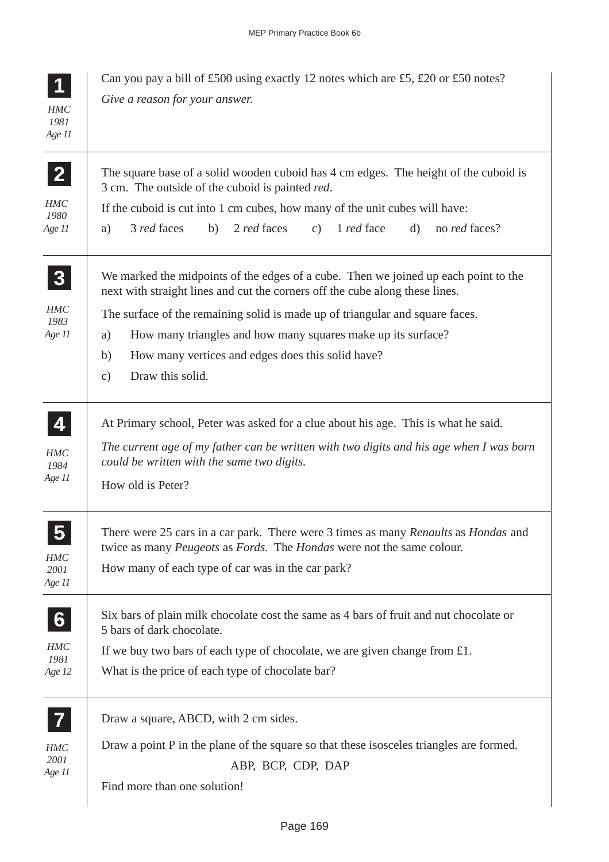| HMC<br>1981<br>Age 11                        | Can you pay a bill of £500 using exactly 12 notes which are £5, £20 or £50 notes?<br>Give a reason for your answer.                                                                                                                                                                                                                                                                                                        |
|----------------------------------------------|----------------------------------------------------------------------------------------------------------------------------------------------------------------------------------------------------------------------------------------------------------------------------------------------------------------------------------------------------------------------------------------------------------------------------|
| $\mathbf{2}$<br><b>HMC</b><br>1980<br>Age 11 | The square base of a solid wooden cuboid has 4 cm edges. The height of the cuboid is<br>3 cm. The outside of the cuboid is painted red.<br>If the cuboid is cut into 1 cm cubes, how many of the unit cubes will have:<br>3 red faces<br>2 red faces<br>1 <i>red</i> face<br>$\mathbf{d}$<br>b)<br>c)<br>no <i>red</i> faces?<br>a)                                                                                        |
| 3<br>HMC<br>1983<br>Age 11                   | We marked the midpoints of the edges of a cube. Then we joined up each point to the<br>next with straight lines and cut the corners off the cube along these lines.<br>The surface of the remaining solid is made up of triangular and square faces.<br>How many triangles and how many squares make up its surface?<br>a)<br>How many vertices and edges does this solid have?<br>b)<br>Draw this solid.<br>$\mathbf{c})$ |
| 4<br>HMC<br>1984<br>Age 11                   | At Primary school, Peter was asked for a clue about his age. This is what he said.<br>The current age of my father can be written with two digits and his age when I was born<br>could be written with the same two digits.<br>How old is Peter?                                                                                                                                                                           |
| $\bullet$<br>HMC<br>2001<br>Age 11           | There were 25 cars in a car park. There were 3 times as many Renaults as Hondas and<br>twice as many <i>Peugeots</i> as <i>Fords</i> . The <i>Hondas</i> were not the same colour.<br>How many of each type of car was in the car park?                                                                                                                                                                                    |
| 6<br><b>HMC</b><br>1981<br>Age 12            | Six bars of plain milk chocolate cost the same as 4 bars of fruit and nut chocolate or<br>5 bars of dark chocolate.<br>If we buy two bars of each type of chocolate, we are given change from $£1$ .<br>What is the price of each type of chocolate bar?                                                                                                                                                                   |
| <b>HMC</b><br>2001<br>Age 11                 | Draw a square, ABCD, with 2 cm sides.<br>Draw a point P in the plane of the square so that these isosceles triangles are formed.<br>ABP, BCP, CDP, DAP<br>Find more than one solution!                                                                                                                                                                                                                                     |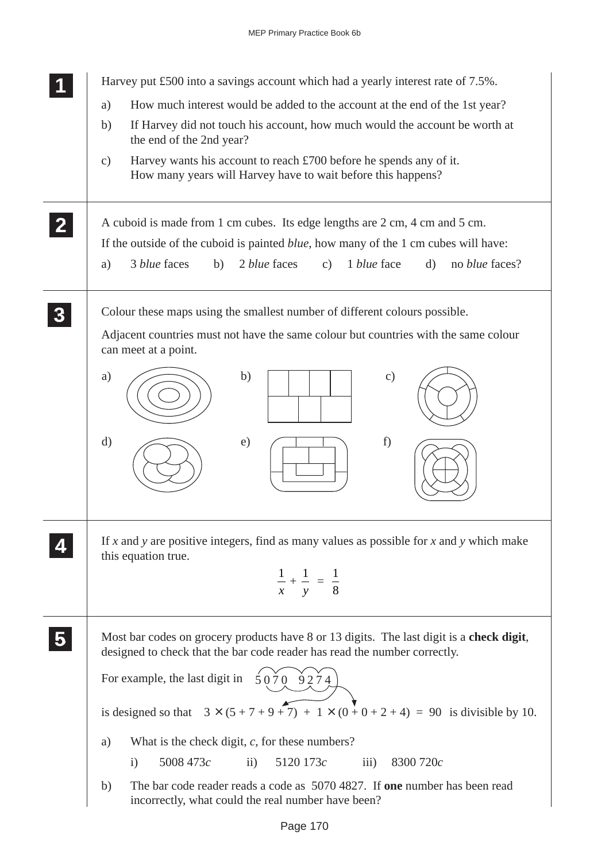|              | Harvey put £500 into a savings account which had a yearly interest rate of 7.5%.                                                                                           |
|--------------|----------------------------------------------------------------------------------------------------------------------------------------------------------------------------|
|              | How much interest would be added to the account at the end of the 1st year?<br>a)                                                                                          |
|              | If Harvey did not touch his account, how much would the account be worth at<br>b)                                                                                          |
|              | the end of the 2nd year?                                                                                                                                                   |
|              | Harvey wants his account to reach $\pounds$ 700 before he spends any of it.<br>$\mathcal{C}$ )<br>How many years will Harvey have to wait before this happens?             |
| $\mathbf{2}$ | A cuboid is made from 1 cm cubes. Its edge lengths are 2 cm, 4 cm and 5 cm.<br>If the outside of the cuboid is painted <i>blue</i> , how many of the 1 cm cubes will have: |
|              | 3 blue faces<br>2 blue faces<br>1 blue face<br>$\mathrm{d}$<br>b)<br>c)<br>no <i>blue</i> faces?<br>a)                                                                     |
|              | Colour these maps using the smallest number of different colours possible.                                                                                                 |
|              | Adjacent countries must not have the same colour but countries with the same colour<br>can meet at a point.                                                                |
|              | b)<br>$\mathbf{c})$<br>a)                                                                                                                                                  |
|              | $\mathbf{d}$<br>f)<br>$\epsilon$ )                                                                                                                                         |
|              | If x and y are positive integers, find as many values as possible for x and y which make<br>this equation true.<br>$\frac{1}{x} + \frac{1}{y} = \frac{1}{8}$               |
|              | Most bar codes on grocery products have 8 or 13 digits. The last digit is a check digit,<br>designed to check that the bar code reader has read the number correctly.      |
|              | For example, the last digit in $50709274$                                                                                                                                  |
|              | is designed so that $3 \times (5 + 7 + 9 + 7) + 1 \times (0 + 0 + 2 + 4) = 90$ is divisible by 10.                                                                         |
|              | What is the check digit, $c$ , for these numbers?<br>a)                                                                                                                    |
|              | 5008 473c<br>5120 173c<br>$\mathbf{ii}$<br>iii)<br>8300 720c<br>$\mathbf{i}$                                                                                               |
|              | The bar code reader reads a code as 5070 4827. If one number has been read<br>b)<br>incorrectly, what could the real number have been?                                     |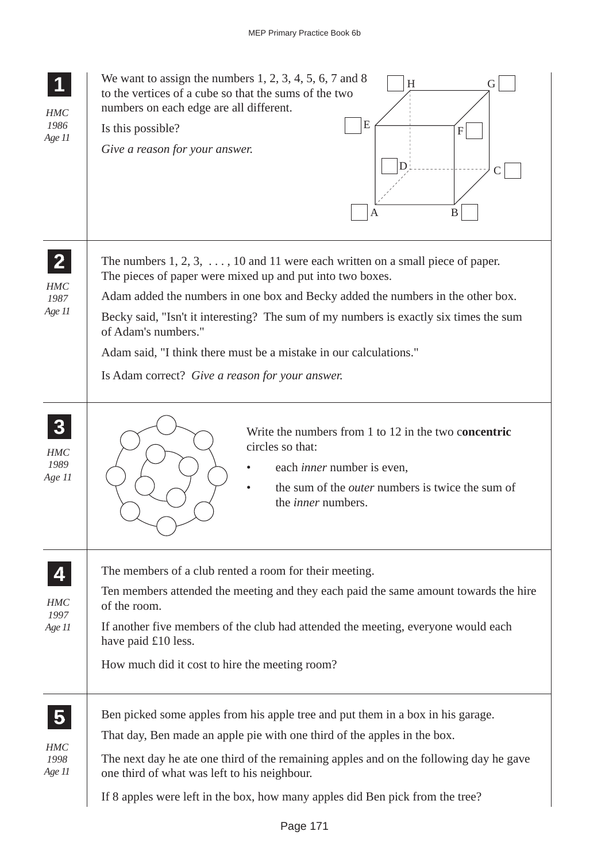| HMC<br>1986<br>Age 11                          | We want to assign the numbers $1, 2, 3, 4, 5, 6, 7$ and 8<br>H<br>G<br>to the vertices of a cube so that the sums of the two<br>numbers on each edge are all different.<br>E<br>Is this possible?<br>F<br>Give a reason for your answer.<br>D<br>B<br>Α                                                                                                                                                                                                                       |
|------------------------------------------------|-------------------------------------------------------------------------------------------------------------------------------------------------------------------------------------------------------------------------------------------------------------------------------------------------------------------------------------------------------------------------------------------------------------------------------------------------------------------------------|
| $\overline{2}$<br><b>HMC</b><br>1987<br>Age 11 | The numbers $1, 2, 3, \ldots, 10$ and 11 were each written on a small piece of paper.<br>The pieces of paper were mixed up and put into two boxes.<br>Adam added the numbers in one box and Becky added the numbers in the other box.<br>Becky said, "Isn't it interesting? The sum of my numbers is exactly six times the sum<br>of Adam's numbers."<br>Adam said, "I think there must be a mistake in our calculations."<br>Is Adam correct? Give a reason for your answer. |
| HMC<br>1989<br>Age 11                          | Write the numbers from 1 to 12 in the two concentric<br>circles so that:<br>each <i>inner</i> number is even,<br>the sum of the <i>outer</i> numbers is twice the sum of<br>the <i>inner</i> numbers.                                                                                                                                                                                                                                                                         |
| HMC<br>1997<br>Age 11                          | The members of a club rented a room for their meeting.<br>Ten members attended the meeting and they each paid the same amount towards the hire<br>of the room.<br>If another five members of the club had attended the meeting, everyone would each<br>have paid £10 less.<br>How much did it cost to hire the meeting room?                                                                                                                                                  |
| 5<br>HMC<br>1998<br>Age 11                     | Ben picked some apples from his apple tree and put them in a box in his garage.<br>That day, Ben made an apple pie with one third of the apples in the box.<br>The next day he ate one third of the remaining apples and on the following day he gave<br>one third of what was left to his neighbour.<br>If 8 apples were left in the box, how many apples did Ben pick from the tree?                                                                                        |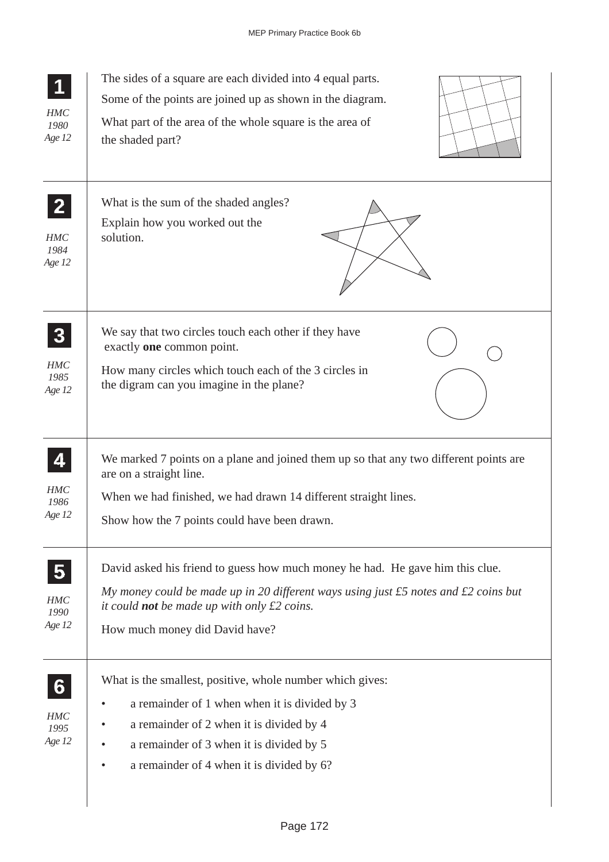| <b>HMC</b><br>1980<br>Age 12                     | The sides of a square are each divided into 4 equal parts.<br>Some of the points are joined up as shown in the diagram.<br>What part of the area of the whole square is the area of<br>the shaded part?                                                                   |
|--------------------------------------------------|---------------------------------------------------------------------------------------------------------------------------------------------------------------------------------------------------------------------------------------------------------------------------|
| $\overline{2}$<br><b>HMC</b><br>1984<br>Age 12   | What is the sum of the shaded angles?<br>Explain how you worked out the<br>solution.                                                                                                                                                                                      |
| $\boldsymbol{3}$<br><b>HMC</b><br>1985<br>Age 12 | We say that two circles touch each other if they have<br>exactly one common point.<br>How many circles which touch each of the 3 circles in<br>the digram can you imagine in the plane?                                                                                   |
| <b>HMC</b><br>1986<br>Age 12                     | We marked 7 points on a plane and joined them up so that any two different points are<br>are on a straight line.<br>When we had finished, we had drawn 14 different straight lines.<br>Show how the 7 points could have been drawn.                                       |
| HMC<br>1990<br>Age 12                            | David asked his friend to guess how much money he had. He gave him this clue.<br>My money could be made up in 20 different ways using just $£5$ notes and $£2$ coins but<br>it could <b>not</b> be made up with only $\pounds 2$ coins.<br>How much money did David have? |
| 6<br><b>HMC</b><br>1995<br>Age 12                | What is the smallest, positive, whole number which gives:<br>a remainder of 1 when when it is divided by 3<br>a remainder of 2 when it is divided by 4<br>a remainder of 3 when it is divided by 5<br>a remainder of 4 when it is divided by 6?                           |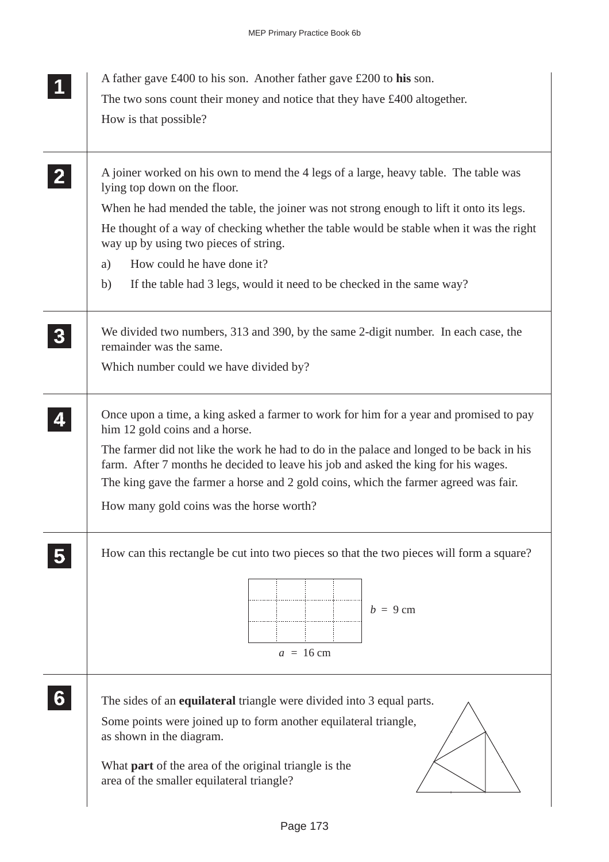| A joiner worked on his own to mend the 4 legs of a large, heavy table. The table was                                                                                           |
|--------------------------------------------------------------------------------------------------------------------------------------------------------------------------------|
| When he had mended the table, the joiner was not strong enough to lift it onto its legs.                                                                                       |
| He thought of a way of checking whether the table would be stable when it was the right                                                                                        |
|                                                                                                                                                                                |
|                                                                                                                                                                                |
| We divided two numbers, 313 and 390, by the same 2-digit number. In each case, the                                                                                             |
|                                                                                                                                                                                |
| Once upon a time, a king asked a farmer to work for him for a year and promised to pay                                                                                         |
| The farmer did not like the work he had to do in the palace and longed to be back in his<br>farm. After 7 months he decided to leave his job and asked the king for his wages. |
| The king gave the farmer a horse and 2 gold coins, which the farmer agreed was fair.                                                                                           |
|                                                                                                                                                                                |
| How can this rectangle be cut into two pieces so that the two pieces will form a square?                                                                                       |
|                                                                                                                                                                                |
|                                                                                                                                                                                |
|                                                                                                                                                                                |
|                                                                                                                                                                                |
|                                                                                                                                                                                |
|                                                                                                                                                                                |
|                                                                                                                                                                                |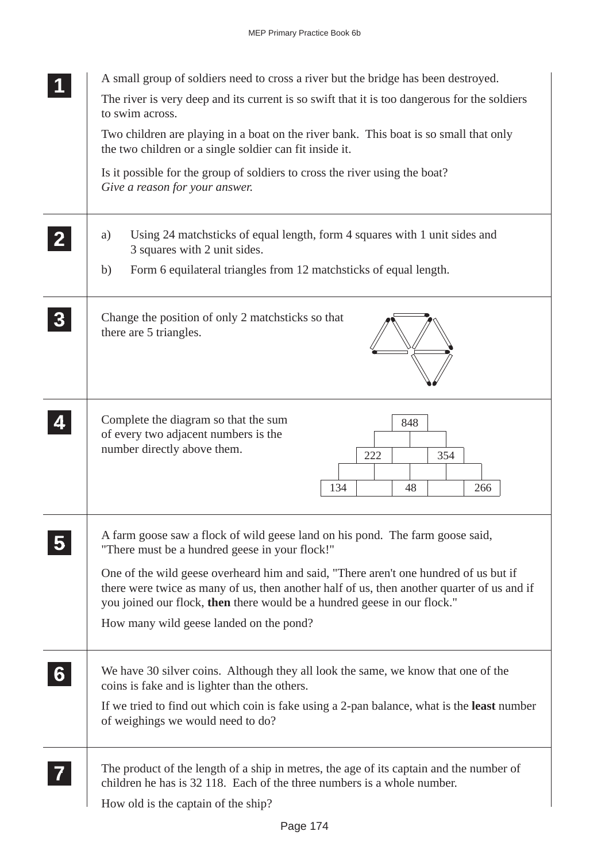|                | A small group of soldiers need to cross a river but the bridge has been destroyed.                                                                                                                                                                             |
|----------------|----------------------------------------------------------------------------------------------------------------------------------------------------------------------------------------------------------------------------------------------------------------|
|                | The river is very deep and its current is so swift that it is too dangerous for the soldiers<br>to swim across.                                                                                                                                                |
|                | Two children are playing in a boat on the river bank. This boat is so small that only<br>the two children or a single soldier can fit inside it.                                                                                                               |
|                | Is it possible for the group of soldiers to cross the river using the boat?<br>Give a reason for your answer.                                                                                                                                                  |
|                | Using 24 matchsticks of equal length, form 4 squares with 1 unit sides and<br>a)<br>3 squares with 2 unit sides.                                                                                                                                               |
|                | Form 6 equilateral triangles from 12 matchsticks of equal length.<br>b)                                                                                                                                                                                        |
|                | Change the position of only 2 match sticks so that<br>there are 5 triangles.                                                                                                                                                                                   |
|                | Complete the diagram so that the sum<br>848<br>of every two adjacent numbers is the<br>number directly above them.<br>222<br>354<br>134<br>48<br>266                                                                                                           |
|                | A farm goose saw a flock of wild geese land on his pond. The farm goose said,<br>"There must be a hundred geese in your flock!"                                                                                                                                |
|                | One of the wild geese overheard him and said, "There aren't one hundred of us but if<br>there were twice as many of us, then another half of us, then another quarter of us and if<br>you joined our flock, then there would be a hundred geese in our flock." |
|                | How many wild geese landed on the pond?                                                                                                                                                                                                                        |
| 6 <sup>1</sup> | We have 30 silver coins. Although they all look the same, we know that one of the<br>coins is fake and is lighter than the others.                                                                                                                             |
|                | If we tried to find out which coin is fake using a 2-pan balance, what is the <b>least</b> number<br>of weighings we would need to do?                                                                                                                         |
|                | The product of the length of a ship in metres, the age of its captain and the number of<br>children he has is 32 118. Each of the three numbers is a whole number.                                                                                             |
|                | How old is the captain of the ship?                                                                                                                                                                                                                            |